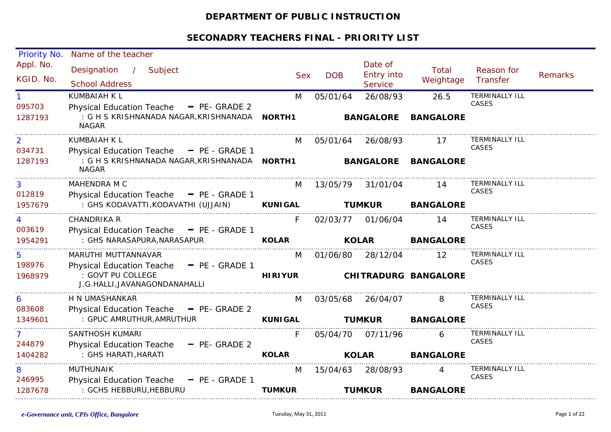## **DEPARTMENT OF PUBLIC INSTRUCTION**

| Priority No.           | Name of the teacher                                                                                             |                |            |                                         |                             |                                       |                |
|------------------------|-----------------------------------------------------------------------------------------------------------------|----------------|------------|-----------------------------------------|-----------------------------|---------------------------------------|----------------|
| Appl. No.<br>KGID. No. | Designation<br>Subject<br>$\mathcal{L}$<br><b>School Address</b>                                                | <b>Sex</b>     | <b>DOB</b> | Date of<br>Entry into<br><b>Service</b> | Total<br>Weightage          | Reason for<br>Transfer                | <b>Remarks</b> |
| 095703<br>1287193      | KUMBAIAH K L<br><b>Physical Education Teache</b><br>$P_{E}$ - GRADE 2<br>: G H S KRISHNANADA NAGAR, KRISHNANADA | M<br>NORTH1    | 05/01/64   | 26/08/93<br><b>BANGALORE</b>            | 26.5<br><b>BANGALORE</b>    | <b>TERMINALLY ILL</b><br>CASES        |                |
|                        | <b>NAGAR</b>                                                                                                    |                |            |                                         |                             |                                       |                |
| 2<br>034731            | KUMBAIAH K L<br>Physical Education Teache - PE - GRADE 1                                                        | M              | 05/01/64   | 26/08/93                                | 17                          | <b>TERMINALLY ILL</b><br>CASES        |                |
| 1287193                | : G H S KRISHNANADA NAGAR, KRISHNANADA<br><b>NAGAR</b>                                                          | <b>NORTH1</b>  |            | <b>BANGALORE</b>                        | <b>BANGALORE</b>            |                                       |                |
| 3<br>012819            | MAHENDRA M C<br><b>Physical Education Teache</b><br>$-$ PE - GRADE 1                                            | M              | 13/05/79   | 31/01/04                                | 14                          | <b>TERMINALLY ILL</b><br>CASES        |                |
| 1957679                | : GHS KODAVATTI, KODAVATHI (UJJAIN)                                                                             | <b>KUNIGAL</b> |            | <b>TUMKUR</b>                           | <b>BANGALORE</b>            |                                       |                |
| 003619                 | <b>CHANDRIKA R</b><br><b>Physical Education Teache</b><br>$\blacksquare$ PE - GRADE 1                           | F              | 02/03/77   | 01/06/04                                | 14                          | <b>TERMINALLY ILL</b><br><b>CASES</b> |                |
| 1954291                | : GHS NARASAPURA, NARASAPUR                                                                                     | <b>KOLAR</b>   |            | <b>KOLAR</b>                            | <b>BANGALORE</b>            |                                       |                |
| 5<br>198976            | MARUTHI MUTTANNAVAR<br>- PE - GRADE 1<br><b>Physical Education Teache</b>                                       | M              | 01/06/80   | 28/12/04                                | 12                          | <b>TERMINALLY ILL</b><br>CASES        |                |
| 1968979                | : GOVT PU COLLEGE<br>J.G.HALLI, JAVANAGONDANAHALLI                                                              | <b>HIRIYUR</b> |            |                                         | <b>CHITRADURG BANGALORE</b> |                                       |                |
| 6<br>083608            | H N UMASHANKAR<br>Physical Education Teache - PE- GRADE 2                                                       | M              | 03/05/68   | 26/04/07                                | 8                           | <b>TERMINALLY ILL</b><br>CASES        |                |
| 1349601                | : GPUC AMRUTHUR, AMRUTHUR                                                                                       | <b>KUNIGAL</b> |            | <b>TUMKUR</b>                           | <b>BANGALORE</b>            |                                       |                |
| 7<br>244879            | SANTHOSH KUMARI<br><b>Physical Education Teache</b><br>$-$ PE- GRADE 2                                          | F              | 05/04/70   | 07/11/96                                | 6                           | <b>TERMINALLY ILL</b><br>CASES        |                |
| 1404282                | : GHS HARATI, HARATI                                                                                            | <b>KOLAR</b>   |            | <b>KOLAR</b>                            | <b>BANGALORE</b>            |                                       |                |
| 8<br>246995            | <b>MUTHUNAIK</b><br><b>Physical Education Teache</b><br>$P = PE - GRADE 1$                                      | M              | 15/04/63   | 28/08/93                                |                             | <b>TERMINALLY ILL</b><br>CASES        |                |
| 1287678                | : GCHS HEBBURU, HEBBURU                                                                                         | <b>TUMKUR</b>  |            | <b>TUMKUR</b>                           | <b>BANGALORE</b>            |                                       |                |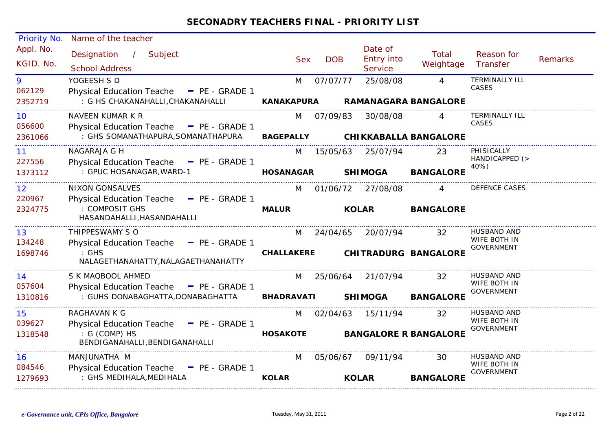| Priority No.           | Name of the teacher                                                                  |                   |            |                                  |                              |                                                  |                |
|------------------------|--------------------------------------------------------------------------------------|-------------------|------------|----------------------------------|------------------------------|--------------------------------------------------|----------------|
| Appl. No.<br>KGID. No. | Designation<br>$\mathcal{L}$<br>Subject<br><b>School Address</b>                     | <b>Sex</b>        | <b>DOB</b> | Date of<br>Entry into<br>Service | Total<br>Weightage           | Reason for<br>Transfer                           | <b>Remarks</b> |
| 9<br>062129            | YOGEESH S D<br>Physical Education Teache - PE - GRADE 1                              | M                 | 07/07/77   | 25/08/08                         | $\overline{A}$               | <b>TERMINALLY ILL</b><br>CASES                   |                |
| 2352719                | : G HS CHAKANAHALLI, CHAKANAHALLI                                                    | <b>KANAKAPURA</b> |            |                                  | <b>RAMANAGARA BANGALORE</b>  |                                                  |                |
| 10<br>056600           | NAVEEN KUMAR K R<br>Physical Education Teache - PE - GRADE 1                         | M                 | 07/09/83   | 30/08/08                         |                              | <b>TERMINALLY ILL</b><br><b>CASES</b>            |                |
| 2361066                | : GHS SOMANATHAPURA, SOMANATHAPURA                                                   | <b>BAGEPALLY</b>  |            |                                  | <b>CHIKKABALLA BANGALORE</b> |                                                  |                |
| 11<br>227556           | NAGARAJA G H<br>Physical Education Teache - PE - GRADE 1                             | M                 | 15/05/63   | 25/07/94                         | 23                           | PHISICALLY<br>HANDICAPPED (>                     |                |
| 1373112                | : GPUC HOSANAGAR, WARD-1                                                             | <b>HOSANAGAR</b>  |            | <b>SHIMOGA</b>                   | <b>BANGALORE</b>             | 40%)                                             |                |
| 12<br>220967           | <b>NIXON GONSALVES</b><br>Physical Education Teache - PE - GRADE 1                   | M                 | 01/06/72   | 27/08/08                         |                              | DEFENCE CASES                                    |                |
| 2324775                | : COMPOSIT GHS<br>HASANDAHALLI, HASANDAHALLI                                         | <b>MALUR</b>      |            | <b>KOLAR</b>                     | <b>BANGALORE</b>             |                                                  |                |
| 13<br>134248           | THIPPESWAMY S O<br>Physical Education Teache - PE - GRADE 1                          | M                 | 24/04/65   | 20/07/94                         | 32                           | HUSBAND AND<br>WIFE BOTH IN<br><b>GOVERNMENT</b> |                |
| 1698746                | $:$ GHS<br>NALAGETHANAHATTY, NALAGAETHANAHATTY                                       | <b>CHALLAKERE</b> |            |                                  | <b>CHITRADURG BANGALORE</b>  |                                                  |                |
| 14<br>057604           | S K MAQBOOL AHMED<br><b>Physical Education Teache</b><br>$\blacksquare$ PE - GRADE 1 | M                 | 25/06/64   | 21/07/94                         | 32                           | <b>HUSBAND AND</b><br>WIFE BOTH IN               |                |
| 1310816                | : GUHS DONABAGHATTA, DONABAGHATTA                                                    | <b>BHADRAVATI</b> |            | <b>SHIMOGA</b>                   | <b>BANGALORE</b>             | <b>GOVERNMENT</b>                                |                |
| 15<br>039627           | RAGHAVAN K G<br>Physical Education Teache - PE - GRADE 1                             | M                 | 02/04/63   | 15/11/94                         | 32                           | <b>HUSBAND AND</b><br>WIFE BOTH IN               |                |
| 1318548                | : G (COMP) HS<br>BENDIGANAHALLI, BENDIGANAHALLI                                      | <b>HOSAKOTE</b>   |            |                                  | <b>BANGALORE R BANGALORE</b> | GOVERNMENT                                       |                |
| 16<br>084546           | MANJUNATHA M<br>Physical Education Teache - PE - GRADE 1                             | M                 | 05/06/67   | 09/11/94                         | 30                           | HUSBAND AND<br>WIFE BOTH IN                      |                |
| 1279693                | : GHS MEDIHALA, MEDIHALA                                                             | <b>KOLAR</b>      |            | <b>KOLAR</b>                     | <b>BANGALORE</b>             | <b>GOVERNMENT</b>                                |                |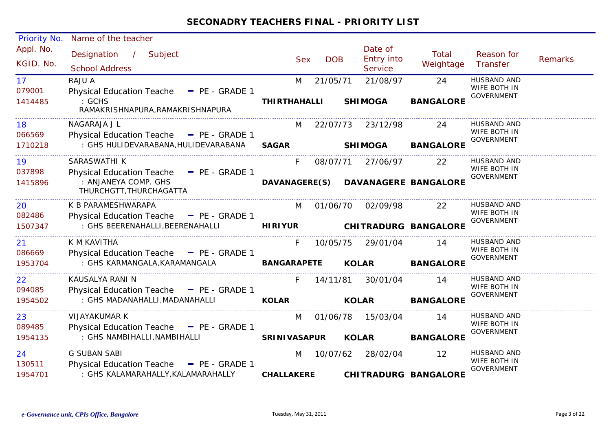| Priority No.           | Name of the teacher                                         |                     |            |            |                                                |                                    |                                   |                |
|------------------------|-------------------------------------------------------------|---------------------|------------|------------|------------------------------------------------|------------------------------------|-----------------------------------|----------------|
| Appl. No.<br>KGID. No. | Designation<br>$\sim$ 1<br>Subject<br><b>School Address</b> |                     | <b>Sex</b> | <b>DOB</b> | Date of<br><b>Entry into</b><br><b>Service</b> | <b>Total</b><br>Weightage          | Reason for<br>Transfer            | <b>Remarks</b> |
| 17                     | RAJU A                                                      | M                   |            | 21/05/71   | 21/08/97                                       | 24                                 | <b>HUSBAND AND</b>                |                |
| 079001                 | <b>Physical Education Teache</b><br>- PE - GRADE 1          |                     |            |            |                                                |                                    | WIFE BOTH IN<br><b>GOVERNMENT</b> |                |
| 1414485                | : GCHS<br>RAMAKRISHNAPURA, RAMAKRISHNAPURA                  | <b>THIRTHAHALLI</b> |            |            | <b>SHIMOGA</b>                                 | <b>BANGALORE</b>                   |                                   |                |
| 18                     | NAGARAJA J L                                                | M                   |            | 22/07/73   | 23/12/98                                       | 24                                 | <b>HUSBAND AND</b>                |                |
| 066569                 | Physical Education Teache - PE - GRADE 1                    |                     |            |            |                                                |                                    | WIFE BOTH IN<br><b>GOVERNMENT</b> |                |
| 1710218                | : GHS HULIDEVARABANA, HULIDEVARABANA                        | <b>SAGAR</b>        |            |            | <b>SHIMOGA</b>                                 | <b>BANGALORE</b>                   |                                   |                |
| 19                     | SARASWATHI K                                                | F.                  |            | 08/07/71   | 27/06/97                                       | 22                                 | HUSBAND AND                       |                |
| 037898                 | Physical Education Teache - PE - GRADE 1                    |                     |            |            |                                                |                                    | WIFE BOTH IN<br><b>GOVERNMENT</b> |                |
| 1415896                | : ANJANEYA COMP. GHS<br>THURCHGTT, THURCHAGATTA             |                     |            |            |                                                | DAVANAGERE(S) DAVANAGERE BANGALORE |                                   |                |
| 20                     | K B PARAMESHWARAPA                                          | M                   |            | 01/06/70   | 02/09/98                                       | 22                                 | <b>HUSBAND AND</b>                |                |
| 082486                 | Physical Education Teache - PE - GRADE 1                    |                     |            |            |                                                |                                    | WIFE BOTH IN<br><b>GOVERNMENT</b> |                |
| 1507347                | : GHS BEERENAHALLI, BEERENAHALLI                            | <b>HIRIYUR</b>      |            |            |                                                | CHITRADURG BANGALORE               |                                   |                |
| 21                     | K M KAVITHA                                                 | F.                  |            | 10/05/75   | 29/01/04                                       | 14                                 | <b>HUSBAND AND</b>                |                |
| 086669                 | Physical Education Teache - PE - GRADE 1                    |                     |            |            |                                                |                                    | WIFE BOTH IN<br><b>GOVERNMENT</b> |                |
| 1953704                | : GHS KARMANGALA, KARAMANGALA                               | <b>BANGARAPETE</b>  |            |            | <b>KOLAR</b>                                   | <b>BANGALORE</b>                   |                                   |                |
| 22                     | KAUSALYA RANI N                                             | F                   |            | 14/11/81   | 30/01/04                                       | 14                                 | <b>HUSBAND AND</b>                |                |
| 094085                 | Physical Education Teache - PE - GRADE 1                    |                     |            |            |                                                |                                    | WIFE BOTH IN<br><b>GOVERNMENT</b> |                |
| 1954502                | : GHS MADANAHALLI, MADANAHALLI                              | <b>KOLAR</b>        |            |            | <b>KOLAR</b>                                   | <b>BANGALORE</b>                   |                                   |                |
| 23                     | VIJAYAKUMAR K                                               | M                   |            | 01/06/78   | 15/03/04                                       | 14                                 | <b>HUSBAND AND</b>                |                |
| 089485                 | Physical Education Teache - PE - GRADE 1                    |                     |            |            |                                                |                                    | WIFE BOTH IN                      |                |
| 1954135                | : GHS NAMBIHALLI, NAMBIHALLI                                | <b>SRINIVASAPUR</b> |            |            | <b>KOLAR</b>                                   | <b>BANGALORE</b>                   | <b>GOVERNMENT</b>                 |                |
| 24                     | <b>G SUBAN SABI</b>                                         | M                   |            | 10/07/62   | 28/02/04                                       | 12                                 | <b>HUSBAND AND</b>                |                |
| 130511                 | Physical Education Teache - PE - GRADE 1                    |                     |            |            |                                                |                                    | WIFE BOTH IN                      |                |
| 1954701                | : GHS KALAMARAHALLY, KALAMARAHALLY                          | <b>CHALLAKERE</b>   |            |            |                                                | <b>CHITRADURG BANGALORE</b>        | <b>GOVERNMENT</b>                 |                |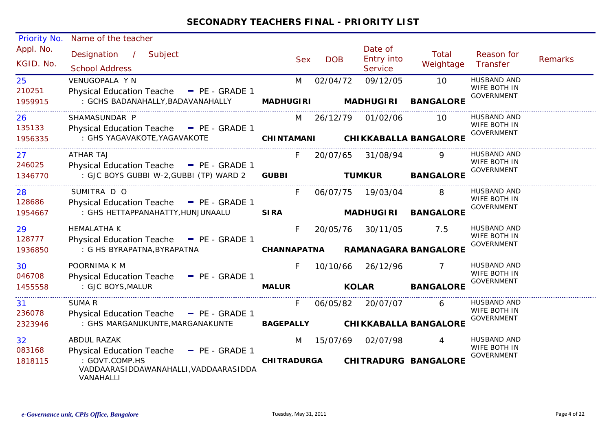| <b>Priority No.</b>    | Name of the teacher                                                  |                    |            |            |                                         |                              |                                   |                |
|------------------------|----------------------------------------------------------------------|--------------------|------------|------------|-----------------------------------------|------------------------------|-----------------------------------|----------------|
| Appl. No.<br>KGID. No. | Designation<br>$\frac{1}{2}$<br>Subject<br><b>School Address</b>     |                    | <b>Sex</b> | <b>DOB</b> | Date of<br><b>Entry into</b><br>Service | Total<br>Weightage           | Reason for<br>Transfer            | <b>Remarks</b> |
| 25                     | VENUGOPALA Y N                                                       | M                  |            | 02/04/72   | 09/12/05                                | 10                           | <b>HUSBAND AND</b>                |                |
| 210251                 | Physical Education Teache - PE - GRADE 1                             |                    |            |            |                                         |                              | WIFE BOTH IN<br><b>GOVERNMENT</b> |                |
| 1959915                | : GCHS BADANAHALLY, BADAVANAHALLY                                    | <b>MADHUGIRI</b>   |            |            | <b>MADHUGIRI</b>                        | <b>BANGALORE</b>             |                                   |                |
| 26                     | SHAMASUNDAR P                                                        | M                  |            | 26/12/79   | 01/02/06                                | 10                           | HUSBAND AND                       |                |
| 135133                 | Physical Education Teache - PE - GRADE 1                             |                    |            |            |                                         |                              | WIFE BOTH IN<br><b>GOVERNMENT</b> |                |
| 1956335                | : GHS YAGAVAKOTE, YAGAVAKOTE                                         | <b>CHINTAMANI</b>  |            |            |                                         | <b>CHIKKABALLA BANGALORE</b> |                                   |                |
| 27                     | <b>ATHAR TAJ</b>                                                     |                    |            | 20/07/65   | 31/08/94                                | 9                            | HUSBAND AND                       |                |
| 246025                 | Physical Education Teache - PE - GRADE 1                             |                    |            |            |                                         |                              | WIFE BOTH IN<br><b>GOVERNMENT</b> |                |
| 1346770                | : GJC BOYS GUBBI W-2, GUBBI (TP) WARD 2                              | <b>GUBBI</b>       |            |            | <b>TUMKUR</b>                           | <b>BANGALORE</b>             |                                   |                |
| 28                     | SUMITRA D O                                                          | F.                 |            | 06/07/75   | 19/03/04                                | 8                            | HUSBAND AND                       |                |
| 128686                 | Physical Education Teache - PE - GRADE 1                             |                    |            |            |                                         |                              | WIFE BOTH IN<br><b>GOVERNMENT</b> |                |
| 1954667                | : GHS HETTAPPANAHATTY, HUNJUNAALU                                    | <b>SIRA</b>        |            |            | <b>MADHUGIRI</b>                        | <b>BANGALORE</b>             |                                   |                |
| 29                     | <b>HEMALATHA K</b>                                                   | F.                 |            | 20/05/76   | 30/11/05                                | 7.5                          | <b>HUSBAND AND</b>                |                |
| 128777                 | Physical Education Teache - PE - GRADE 1                             |                    |            |            |                                         |                              | WIFE BOTH IN<br><b>GOVERNMENT</b> |                |
| 1936850                | : G HS BYRAPATNA, BYRAPATNA                                          | CHANNAPATNA        |            |            |                                         | <b>RAMANAGARA BANGALORE</b>  |                                   |                |
| 30                     | POORNIMA K M                                                         |                    |            | 10/10/66   | 26/12/96                                |                              | HUSBAND AND                       |                |
| 046708                 | Physical Education Teache - PE - GRADE 1                             |                    |            |            |                                         |                              | WIFE BOTH IN                      |                |
| 1455558                | : GJC BOYS, MALUR                                                    | <b>MALUR</b>       |            |            | <b>KOLAR</b>                            | <b>BANGALORE</b>             | <b>GOVERNMENT</b>                 |                |
| 31                     | SUMA R                                                               | F.                 |            | 06/05/82   | 20/07/07                                | 6                            | <b>HUSBAND AND</b>                |                |
| 236078                 | Physical Education Teache - PE - GRADE 1                             |                    |            |            |                                         |                              | WIFE BOTH IN                      |                |
| 2323946                | : GHS MARGANUKUNTE, MARGANAKUNTE                                     | <b>BAGEPALLY</b>   |            |            |                                         | <b>CHIKKABALLA BANGALORE</b> | <b>GOVERNMENT</b>                 |                |
| 32                     | <b>ABDUL RAZAK</b>                                                   | M                  |            | 15/07/69   | 02/07/98                                |                              | <b>HUSBAND AND</b>                |                |
| 083168                 | <b>Physical Education Teache</b><br>$P = PE - GRADE 1$               |                    |            |            |                                         |                              | WIFE BOTH IN                      |                |
| 1818115                | : GOVT.COMP.HS<br>VADDAARASIDDAWANAHALLI, VADDAARASIDDA<br>VANAHALLI | <b>CHITRADURGA</b> |            |            |                                         | <b>CHITRADURG BANGALORE</b>  | <b>GOVERNMENT</b>                 |                |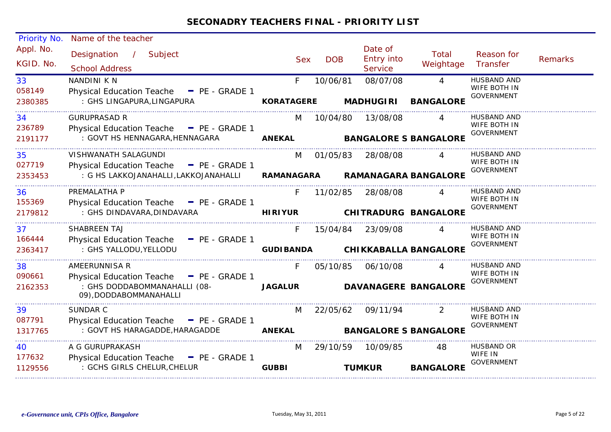| <b>Priority No.</b>    | Name of the teacher                                    |                          |            |                                         |                              |                                   |                |
|------------------------|--------------------------------------------------------|--------------------------|------------|-----------------------------------------|------------------------------|-----------------------------------|----------------|
| Appl. No.<br>KGID. No. | Designation /<br>Subject<br><b>School Address</b>      | <b>Sex</b>               | <b>DOB</b> | Date of<br><b>Entry into</b><br>Service | Total<br>Weightage           | Reason for<br>Transfer            | <b>Remarks</b> |
| 33                     | NANDINI K N                                            | F                        | 10/06/81   | 08/07/08                                | $\overline{4}$               | <b>HUSBAND AND</b>                |                |
| 058149                 | Physical Education Teache - PE - GRADE 1               |                          |            |                                         |                              | WIFE BOTH IN<br><b>GOVERNMENT</b> |                |
| 2380385                | : GHS LINGAPURA, LINGAPURA                             | <b>KORATAGERE</b>        |            | <b>MADHUGIRI</b>                        | <b>BANGALORE</b>             |                                   |                |
| 34                     | <b>GURUPRASAD R</b>                                    | M                        | 10/04/80   | 13/08/08                                | $\overline{A}$               | HUSBAND AND                       |                |
| 236789                 | Physical Education Teache - PE - GRADE 1               |                          |            |                                         |                              | WIFE BOTH IN<br><b>GOVERNMENT</b> |                |
| 2191177                | : GOVT HS HENNAGARA, HENNAGARA <b>ANEKAL</b>           |                          |            |                                         | <b>BANGALORE S BANGALORE</b> |                                   |                |
| 35                     | VISHWANATH SALAGUNDI                                   | M                        | 01/05/83   | 28/08/08                                | $\overline{A}$               | <b>HUSBAND AND</b>                |                |
| 027719                 | Physical Education Teache - PE - GRADE 1               |                          |            |                                         |                              | WIFE BOTH IN                      |                |
| 2353453                | : G HS LAKKOJANAHALLI,LAKKOJANAHALLI                   | RAMANAGARA               |            |                                         | <b>RAMANAGARA BANGALORE</b>  | <b>GOVERNMENT</b>                 |                |
| 36                     | PREMALATHA P                                           | F.                       | 11/02/85   | 28/08/08                                |                              | <b>HUSBAND AND</b>                |                |
| 155369                 | Physical Education Teache - PE - GRADE 1               |                          |            |                                         |                              | WIFE BOTH IN                      |                |
| 2179812                | : GHS DINDAVARA, DINDAVARA                             | <b>HIRIYUR</b>           |            |                                         | <b>CHITRADURG BANGALORE</b>  | <b>GOVERNMENT</b>                 |                |
| 37                     | SHABREEN TAJ                                           | F.                       |            | 15/04/84 23/09/08                       |                              | HUSBAND AND                       |                |
| 166444                 | Physical Education Teache - PE - GRADE 1               |                          |            |                                         |                              | WIFE BOTH IN<br><b>GOVERNMENT</b> |                |
| 2363417                | : GHS YALLODU, YELLODU                                 | <b>GUDI BANDA</b>        |            |                                         | <b>CHIKKABALLA BANGALORE</b> |                                   |                |
| 38                     | AMEERUNNISA R                                          | F.                       | 05/10/85   | 06/10/08                                |                              | HUSBAND AND                       |                |
| 090661                 | Physical Education Teache - PE - GRADE 1               |                          |            |                                         |                              | WIFE BOTH IN<br><b>GOVERNMENT</b> |                |
| 2162353                | : GHS DODDABOMMANAHALLI (08-<br>09), DODDABOMMANAHALLI | <b>JAGALUR</b>           |            |                                         | <b>DAVANAGERE BANGALORE</b>  |                                   |                |
| 39                     | <b>SUNDAR C</b>                                        | M                        | 22/05/62   | 09/11/94                                | 2                            | HUSBAND AND                       |                |
| 087791                 | Physical Education Teache - PE - GRADE 1               |                          |            |                                         |                              | WIFE BOTH IN<br><b>GOVERNMENT</b> |                |
| 1317765                | : GOVT HS HARAGADDE, HARAGADDE                         | <b>Example 18 ANEKAL</b> |            |                                         | <b>BANGALORE S BANGALORE</b> |                                   |                |
| 40                     | A G GURUPRAKASH                                        | M                        |            | 29/10/59 10/09/85                       | 48                           | HUSBAND OR                        |                |
| 177632                 | Physical Education Teache - PE - GRADE 1               |                          |            |                                         |                              | WIFE IN<br><b>GOVERNMENT</b>      |                |
| 1129556                | : GCHS GIRLS CHELUR, CHELUR                            | <b>GUBBI</b>             |            | <b>TUMKUR</b>                           | <b>BANGALORE</b>             |                                   |                |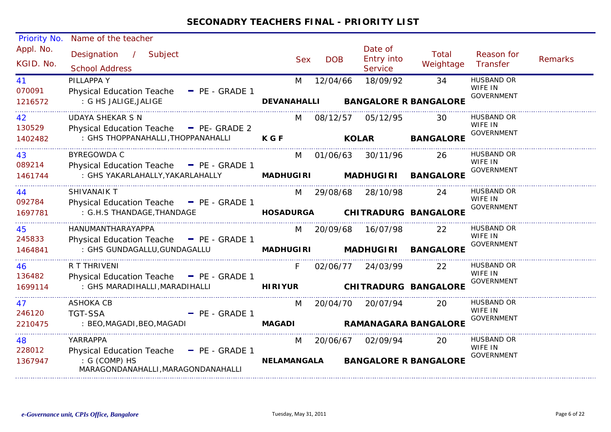| <b>Priority No.</b>    | Name of the teacher                                 |                    |            |                                         |                    |                              |                |
|------------------------|-----------------------------------------------------|--------------------|------------|-----------------------------------------|--------------------|------------------------------|----------------|
| Appl. No.<br>KGID. No. | Designation / Subject<br><b>School Address</b>      | <b>Sex</b>         | <b>DOB</b> | Date of<br><b>Entry into</b><br>Service | Total<br>Weightage | Reason for<br>Transfer       | <b>Remarks</b> |
| 41                     | PILLAPPA Y                                          | M                  | 12/04/66   | 18/09/92                                | 34                 | <b>HUSBAND OR</b>            |                |
| 070091                 | Physical Education Teache - PE - GRADE 1            |                    |            |                                         |                    | WIFE IN<br><b>GOVERNMENT</b> |                |
| 1216572                | : G HS JALIGE, JALIGE                               | <b>DEVANAHALLI</b> |            | <b>BANGALORE R BANGALORE</b>            |                    |                              |                |
| 42                     | <b>UDAYA SHEKAR S N</b>                             | M                  | 08/12/57   | 05/12/95                                | 30                 | HUSBAND OR                   |                |
| 130529                 | Physical Education Teache - PE- GRADE 2             |                    |            |                                         |                    | WIFE IN<br><b>GOVERNMENT</b> |                |
| 1402482                | : GHS THOPPANAHALLI, THOPPANAHALLI                  | <b>KGF</b>         |            | <b>KOLAR</b>                            | <b>BANGALORE</b>   |                              |                |
| 43                     | <b>BYREGOWDA C</b>                                  | M                  | 01/06/63   | 30/11/96                                | 26                 | HUSBAND OR                   |                |
| 089214                 | Physical Education Teache - PE - GRADE 1            |                    |            |                                         |                    | WIFE IN<br><b>GOVERNMENT</b> |                |
| 1461744                | : GHS YAKARLAHALLY,YAKARLAHALLY                     | <b>MADHUGIRI</b>   |            | <b>MADHUGIRI</b>                        | <b>BANGALORE</b>   |                              |                |
| 44                     | <b>SHIVANAIK T</b>                                  | M                  | 29/08/68   | 28/10/98                                | 24                 | HUSBAND OR                   |                |
| 092784                 | Physical Education Teache - PE - GRADE 1            |                    |            |                                         |                    | WIFE IN<br><b>GOVERNMENT</b> |                |
| 1697781                | : G.H.S THANDAGE, THANDAGE                          |                    |            | HOSADURGA CHITRADURG BANGALORE          |                    |                              |                |
| 45                     | HANUMANTHARAYAPPA                                   |                    |            | M 20/09/68 16/07/98                     | 22                 | HUSBAND OR                   |                |
| 245833                 | Physical Education Teache $=$ PE - GRADE 1          |                    |            |                                         |                    | WIFE IN<br><b>GOVERNMENT</b> |                |
| 1464841                | : GHS GUNDAGALLU, GUNDAGALLU                        | <b>MADHUGIRI</b>   |            | <b>MADHUGIRI</b>                        | <b>BANGALORE</b>   |                              |                |
| 46                     | R T THRIVENI                                        | F.                 |            | 02/06/77 24/03/99                       | $22^{\circ}$       | HUSBAND OR                   |                |
| 136482                 | Physical Education Teache - PE - GRADE 1            |                    |            |                                         |                    | WIFE IN<br><b>GOVERNMENT</b> |                |
| 1699114                | : GHS MARADIHALLI, MARADIHALLI                      | <b>HIRIYUR</b>     |            | <b>CHITRADURG BANGALORE</b>             |                    |                              |                |
| 47                     | ASHOKA CB                                           | M                  |            | 20/04/70 20/07/94                       | 20                 | <b>HUSBAND OR</b>            |                |
| 246120                 | <b>TGT-SSA</b><br>$P_{E}$ - GRADE 1                 |                    |            |                                         |                    | WIFE IN<br><b>GOVERNMENT</b> |                |
| 2210475                | : BEO, MAGADI, BEO, MAGADI                          | <b>MAGADI</b>      |            | <b>RAMANAGARA BANGALORE</b>             |                    |                              |                |
| 48                     | YARRAPPA                                            | M                  | 20/06/67   | 02/09/94                                | <b>20</b>          | <b>HUSBAND OR</b>            |                |
| 228012                 | Physical Education Teache - PE - GRADE 1            |                    |            |                                         |                    | WIFE IN<br><b>GOVERNMENT</b> |                |
| 1367947                | : G (COMP) HS<br>MARAGONDANAHALLI, MARAGONDANAHALLI | NELAMANGALA        |            | <b>BANGALORE R BANGALORE</b>            |                    |                              |                |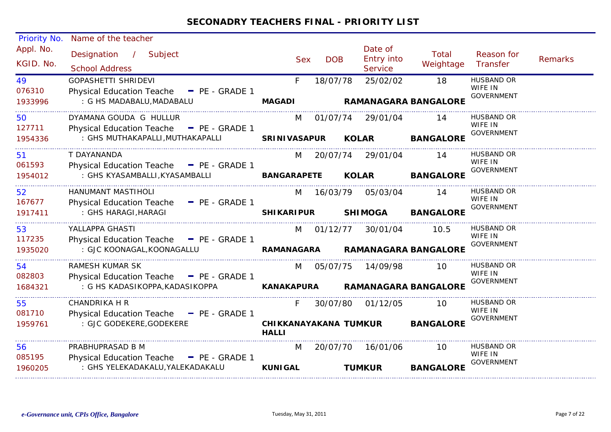| Priority No. | Name of the teacher                      |                          |            |                       |                             |                              |         |
|--------------|------------------------------------------|--------------------------|------------|-----------------------|-----------------------------|------------------------------|---------|
| Appl. No.    | Designation /<br>Subject                 | <b>Sex</b>               | <b>DOB</b> | Date of<br>Entry into | Total                       | Reason for                   | Remarks |
| KGID. No.    | <b>School Address</b>                    |                          |            | <b>Service</b>        | Weightage                   | Transfer                     |         |
| 49           | <b>GOPASHETTI SHRIDEVI</b>               | F.                       | 18/07/78   | 25/02/02              | 18                          | <b>HUSBAND OR</b>            |         |
| 076310       | Physical Education Teache - PE - GRADE 1 |                          |            |                       |                             | WIFE IN<br><b>GOVERNMENT</b> |         |
| 1933996      | : G HS MADABALU, MADABALU                | <b>MAGADI</b>            |            |                       | <b>RAMANAGARA BANGALORE</b> |                              |         |
| 50           | DYAMANA GOUDA G HULLUR                   | M                        |            | 01/07/74 29/01/04     | 14                          | HUSBAND OR                   |         |
| 127711       | Physical Education Teache - PE - GRADE 1 |                          |            |                       |                             | WIFE IN<br><b>GOVERNMENT</b> |         |
| 1954336      | : GHS MUTHAKAPALLI, MUTHAKAPALLI         | <b>SRINIVASAPUR</b>      |            | <b>KOLAR</b>          | <b>BANGALORE</b>            |                              |         |
| 51           | T DAYANANDA                              | M                        |            | 20/07/74 29/01/04     | -14                         | <b>HUSBAND OR</b>            |         |
| 061593       | Physical Education Teache - PE - GRADE 1 |                          |            |                       |                             | WIFE IN<br><b>GOVERNMENT</b> |         |
| 1954012      | : GHS KYASAMBALLI, KYASAMBALLI           | <b>BANGARAPETE KOLAR</b> |            |                       | <b>BANGALORE</b>            |                              |         |
| 52           | HANUMANT MASTIHOLI                       | M                        | 16/03/79   | 05/03/04              | 14                          | <b>HUSBAND OR</b>            |         |
| 167677       | Physical Education Teache - PE - GRADE 1 |                          |            |                       |                             | WIFE IN<br><b>GOVERNMENT</b> |         |
| 1917411      | : GHS HARAGI, HARAGI                     | <b>SHIKARIPUR</b>        |            | <b>SHIMOGA</b>        | <b>BANGALORE</b>            |                              |         |
| 53           | YALLAPPA GHASTI                          |                          | M 01/12/77 | 30/01/04              | 10.5                        | <b>HUSBAND OR</b>            |         |
| 117235       | Physical Education Teache - PE - GRADE 1 |                          |            |                       |                             | WIFE IN<br><b>GOVERNMENT</b> |         |
| 1935020      | : GJC KOONAGAL, KOONAGALLU               | <b>RAMANAGARA</b>        |            |                       | <b>RAMANAGARA BANGALORE</b> |                              |         |
| 54           | RAMESH KUMAR SK                          | M                        | 05/07/75   | 14/09/98              | 10.                         | <b>HUSBAND OR</b><br>WIFE IN |         |
| 082803       | Physical Education Teache - PE - GRADE 1 |                          |            |                       |                             | <b>GOVERNMENT</b>            |         |
| 1684321      | : G HS KADASIKOPPA, KADASIKOPPA          | <b>KANAKAPURA</b>        |            |                       | <b>RAMANAGARA BANGALORE</b> |                              |         |
| 55           | <b>CHANDRIKA H R</b>                     | F.                       |            | 30/07/80 01/12/05     | 10                          | HUSBAND OR                   |         |
| 081710       | Physical Education Teache - PE - GRADE 1 |                          |            |                       |                             | WIFE IN<br><b>GOVERNMENT</b> |         |
| 1959761      | : GJC GODEKERE, GODEKERE                 | HALLI                    |            | CHIKKANAYAKANA TUMKUR | <b>BANGALORE</b>            |                              |         |
| 56           | PRABHUPRASAD B M                         | M                        | 20/07/70   | 16/01/06              | 10                          | HUSBAND OR                   |         |
| 085195       | Physical Education Teache - PE - GRADE 1 |                          |            |                       |                             | WIFE IN<br><b>GOVERNMENT</b> |         |
| 1960205      | : GHS YELEKADAKALU, YALEKADAKALU         | <b>KUNIGAL</b>           |            | <b>TUMKUR</b>         | <b>BANGALORE</b>            |                              |         |
|              |                                          |                          |            |                       |                             |                              |         |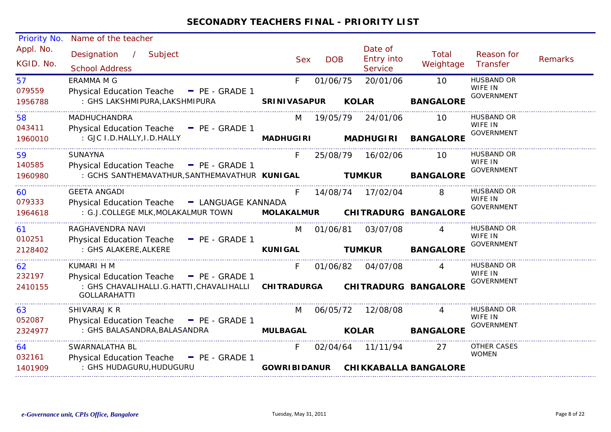| <b>Priority No.</b>    | Name of the teacher                                                                               |                     |               |                                         |                              |                                                   |                |
|------------------------|---------------------------------------------------------------------------------------------------|---------------------|---------------|-----------------------------------------|------------------------------|---------------------------------------------------|----------------|
| Appl. No.<br>KGID. No. | Designation /<br>Subject<br><b>School Address</b>                                                 | <b>Sex</b>          | <b>DOB</b>    | Date of<br>Entry into<br><b>Service</b> | Total<br>Weightage           | Reason for<br>Transfer                            | <b>Remarks</b> |
| 57<br>079559           | <b>ERAMMA M G</b><br>Physical Education Teache - PE - GRADE 1                                     | F.                  | 01/06/75      | 20/01/06                                | 10                           | <b>HUSBAND OR</b><br>WIFE IN<br><b>GOVERNMENT</b> |                |
| 1956788                | : GHS LAKSHMIPURA,LAKSHMIPURA                                                                     | <b>SRINIVASAPUR</b> |               | <b>KOLAR</b>                            | <b>BANGALORE</b>             |                                                   |                |
| 58<br>043411           | MADHUCHANDRA<br>Physical Education Teache - PE - GRADE 1                                          | M                   | 19/05/79      | 24/01/06                                | 10                           | <b>HUSBAND OR</b><br>WIFE IN                      |                |
| 1960010                | : GJC I.D.HALLY, I.D.HALLY                                                                        | <b>MADHUGIRI</b>    |               | <b>MADHUGIRI</b>                        | <b>BANGALORE</b>             | <b>GOVERNMENT</b>                                 |                |
| 59<br>140585           | <b>SUNAYNA</b><br>Physical Education Teache - PE - GRADE 1                                        | F.                  |               | 25/08/79 16/02/06                       | 10                           | <b>HUSBAND OR</b><br>WIFE IN                      |                |
| 1960980                | : GCHS SANTHEMAVATHUR, SANTHEMAVATHUR KUNIGAL                                                     |                     | <b>TUMKUR</b> |                                         | <b>BANGALORE</b>             | <b>GOVERNMENT</b>                                 |                |
| 60<br>079333           | <b>GEETA ANGADI</b><br>Physical Education Teache - LANGUAGE KANNADA                               | F.                  |               | 14/08/74  17/02/04                      | 8                            | HUSBAND OR<br>WIFE IN                             |                |
| 1964618                | : G.J.COLLEGE MLK, MOLAKALMUR TOWN                                                                | <b>MOLAKALMUR</b>   |               |                                         | <b>CHITRADURG BANGALORE</b>  | <b>GOVERNMENT</b>                                 |                |
| 61<br>010251           | RAGHAVENDRA NAVI<br>Physical Education Teache - PE - GRADE 1                                      | M                   |               | 01/06/81 03/07/08                       |                              | <b>HUSBAND OR</b><br>WIFE IN                      |                |
| 2128402                | : GHS ALAKERE, ALKERE                                                                             | <b>KUNIGAL</b>      |               | <b>TUMKUR</b>                           | <b>BANGALORE</b>             | <b>GOVERNMENT</b>                                 |                |
| 62<br>232197           | KUMARI H M<br>Physical Education Teache - PE - GRADE 1                                            | F.                  |               | 01/06/82 04/07/08                       |                              | <b>HUSBAND OR</b><br>WIFE IN                      |                |
| 2410155                | : GHS CHAVALIHALLI.G.HATTI,CHAVALIHALLI  CHITRADURGA  CHITRADURG BANGALORE<br><b>GOLLARAHATTI</b> |                     |               |                                         |                              | <b>GOVERNMENT</b>                                 |                |
| 63<br>052087           | SHIVARAJ K R                                                                                      | M                   | 06/05/72      | 12/08/08                                |                              | HUSBAND OR<br>WIFE IN                             |                |
| 2324977                | Physical Education Teache - PE - GRADE 1<br>: GHS BALASANDRA, BALASANDRA                          | <b>MULBAGAL</b>     |               | <b>KOLAR</b>                            | <b>BANGALORE</b>             | <b>GOVERNMENT</b>                                 |                |
| 64<br>032161           | SWARNALATHA BL                                                                                    | F.                  |               | 02/04/64 11/11/94                       | 27                           | OTHER CASES<br><b>WOMEN</b>                       |                |
| 1401909                | Physical Education Teache - PE - GRADE 1<br>: GHS HUDAGURU, HUDUGURU                              | <b>GOWRIBIDANUR</b> |               |                                         | <b>CHIKKABALLA BANGALORE</b> |                                                   |                |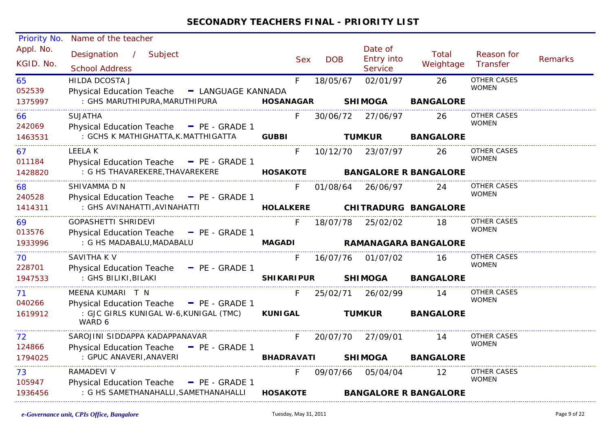| <b>Priority No.</b>    | Name of the teacher                                                               |                   |            |                                  |                              |                                    |                |
|------------------------|-----------------------------------------------------------------------------------|-------------------|------------|----------------------------------|------------------------------|------------------------------------|----------------|
| Appl. No.<br>KGID. No. | Designation / Subject<br><b>School Address</b>                                    | <b>Sex</b>        | <b>DOB</b> | Date of<br>Entry into<br>Service | Total<br>Weightage           | Reason for<br>Transfer             | <b>Remarks</b> |
| 65<br>052539           | <b>HILDA DCOSTA J</b><br>Physical Education Teache - LANGUAGE KANNADA             | F                 | 18/05/67   | 02/01/97                         | 26                           | <b>OTHER CASES</b><br><b>WOMEN</b> |                |
| 1375997                | : GHS MARUTHIPURA, MARUTHIPURA                                                    | <b>HOSANAGAR</b>  |            | <b>SHIMOGA</b>                   | <b>BANGALORE</b>             |                                    |                |
| 66<br>242069           | <b>SUJATHA</b><br>Physical Education Teache - PE - GRADE 1                        | F.                |            | 30/06/72 27/06/97                | 26                           | OTHER CASES<br><b>WOMEN</b>        |                |
| 1463531                | : GCHS K MATHIGHATTA, K.MATTHIGATTA                                               | <b>GUBBI</b>      |            | <b>TUMKUR</b>                    | <b>BANGALORE</b>             |                                    |                |
| 67<br>011184           | <b>LEELAK</b><br>Physical Education Teache - PE - GRADE 1                         | F.                |            | 10/12/70 23/07/97                | 26                           | OTHER CASES<br><b>WOMEN</b>        |                |
| 1428820                | : G HS THAVAREKERE, THAVAREKERE                                                   | <b>HOSAKOTE</b>   |            |                                  | <b>BANGALORE R BANGALORE</b> |                                    |                |
| 68<br>240528           | SHIVAMMA D N<br>Physical Education Teache - PE - GRADE 1                          | F.                |            | 01/08/64 26/06/97                | 24                           | <b>OTHER CASES</b><br><b>WOMEN</b> |                |
| 1414311                | : GHS AVINAHATTI, AVINAHATTI                                                      | <b>HOLALKERE</b>  |            |                                  | CHITRADURG BANGALORE         |                                    |                |
| 69<br>013576           | GOPASHETTI SHRIDEVI<br>Physical Education Teache - PE - GRADE 1                   | F.                |            | 18/07/78 25/02/02                | 18                           | <b>OTHER CASES</b><br><b>WOMEN</b> |                |
| 1933996                | : G HS MADABALU, MADABALU                                                         | <b>MAGADI</b>     |            |                                  | <b>RAMANAGARA BANGALORE</b>  |                                    |                |
| 70<br>228701           | SAVITHA K V<br>Physical Education Teache - PE - GRADE 1                           | F.                | 16/07/76   | 01/07/02                         | 16                           | OTHER CASES<br><b>WOMEN</b>        |                |
| 1947533                | : GHS BILIKI, BILAKI                                                              | <b>SHIKARIPUR</b> |            | <b>SHIMOGA</b>                   | <b>BANGALORE</b>             |                                    |                |
| 71<br>040266           | MEENA KUMARI T N<br>Physical Education Teache - PE - GRADE 1                      | F.                | 25/02/71   | 26/02/99                         | 14                           | <b>OTHER CASES</b><br><b>WOMEN</b> |                |
| 1619912                | : GJC GIRLS KUNIGAL W-6,KUNIGAL (TMC)<br>WARD 6                                   | <b>KUNIGAL</b>    |            | <b>TUMKUR</b>                    | <b>BANGALORE</b>             |                                    |                |
| 72                     | SAROJINI SIDDAPPA KADAPPANAVAR                                                    | F.                | 20/07/70   | 27/09/01                         | 14                           | OTHER CASES                        |                |
| 124866<br>1794025      | Physical Education Teache - PE - GRADE 1<br>: GPUC ANAVERI, ANAVERI               | <b>BHADRAVATI</b> |            | <b>SHIMOGA</b>                   | <b>BANGALORE</b>             | <b>WOMEN</b>                       |                |
| 73                     | RAMADEVI V                                                                        | F.                |            | 09/07/66 05/04/04                | 12                           | OTHER CASES<br><b>WOMEN</b>        |                |
| 105947<br>1936456      | Physical Education Teache - PE - GRADE 1<br>: G HS SAMETHANAHALLI, SAMETHANAHALLI | <b>HOSAKOTE</b>   |            |                                  | <b>BANGALORE R BANGALORE</b> |                                    |                |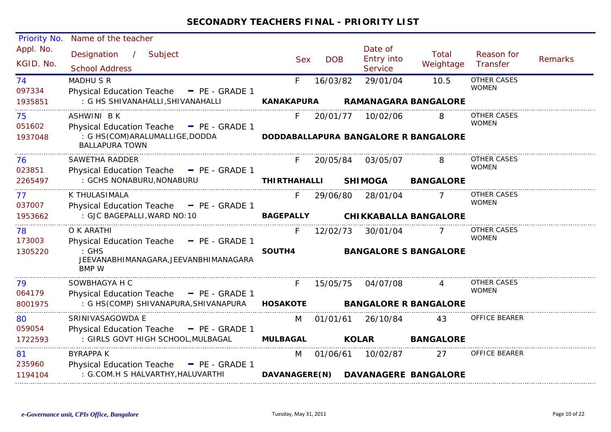| Priority No.            | Name of the teacher                                                                                                      |                     |            |                                                         |                    |                                    |                |
|-------------------------|--------------------------------------------------------------------------------------------------------------------------|---------------------|------------|---------------------------------------------------------|--------------------|------------------------------------|----------------|
| Appl. No.<br>KGID. No.  | Designation<br>$\frac{1}{2}$<br>Subject<br><b>School Address</b>                                                         | <b>Sex</b>          | <b>DOB</b> | Date of<br><b>Entry into</b><br>Service                 | Total<br>Weightage | Reason for<br>Transfer             | <b>Remarks</b> |
| 74<br>097334            | <b>MADHU S R</b><br>Physical Education Teache - PE - GRADE 1                                                             | F.                  | 16/03/82   | 29/01/04                                                | 10.5               | <b>OTHER CASES</b><br><b>WOMEN</b> |                |
| 1935851                 | : G HS SHIVANAHALLI, SHIVANAHALLI                                                                                        | <b>KANAKAPURA</b>   |            | <b>RAMANAGARA BANGALORE</b>                             |                    |                                    |                |
| 75<br>051602            | <b>ASHWINI BK</b><br>Physical Education Teache - PE - GRADE 1                                                            | F.                  |            | 20/01/77 10/02/06                                       |                    | OTHER CASES<br><b>WOMEN</b>        |                |
| 1937048                 | : G HS(COM)ARALUMALLIGE, DODDA<br><b>BALLAPURA TOWN</b>                                                                  |                     |            | DODDABALLAPURA BANGALORE R BANGALORE                    |                    |                                    |                |
| 76<br>023851            | SAWETHA RADDER<br>Physical Education Teache - PE - GRADE 1                                                               |                     | 20/05/84   | 03/05/07                                                | 8                  | OTHER CASES<br><b>WOMEN</b>        |                |
| 2265497                 | : GCHS NONABURU, NONABURU                                                                                                | <b>THIRTHAHALLI</b> |            | <b>SHIMOGA</b>                                          | <b>BANGALORE</b>   |                                    |                |
| 77<br>037007            | K THULASIMALA<br>Physical Education Teache - PE - GRADE 1                                                                | F.                  | 29/06/80   | 28/01/04                                                |                    | OTHER CASES<br><b>WOMEN</b>        |                |
| 1953662                 | : GJC BAGEPALLI, WARD NO: 10                                                                                             | <b>BAGEPALLY</b>    |            | <b>CHIKKABALLA BANGALORE</b>                            |                    |                                    |                |
| 78<br>173003            | O K ARATHI<br>Physical Education Teache - PE - GRADE 1                                                                   | F.                  | 12/02/73   | 30/01/04                                                |                    | OTHER CASES<br><b>WOMEN</b>        |                |
| 1305220                 | $:$ GHS<br>JEEVANABHIMANAGARA, JEEVANBHIMANAGARA<br><b>BMP W</b>                                                         | SOUTH4              |            | <b>BANGALORE S BANGALORE</b>                            |                    |                                    |                |
| 79<br>064179            | SOWBHAGYA H C<br>Physical Education Teache - PE - GRADE 1                                                                | F.                  | 15/05/75   | 04/07/08                                                | 4                  | OTHER CASES<br><b>WOMEN</b>        |                |
| 8001975                 | : G HS(COMP) SHIVANAPURA, SHIVANAPURA                                                                                    | <b>HOSAKOTE</b>     |            | <b>BANGALORE R BANGALORE</b>                            |                    |                                    |                |
| 80<br>059054            | SRINIVASAGOWDA E<br>Physical Education Teache - PE - GRADE 1                                                             | M                   | 01/01/61   | 26/10/84                                                | 43                 | <b>OFFICE BEARER</b>               |                |
| 1722593                 | : GIRLS GOVT HIGH SCHOOL, MULBAGAL                                                                                       | <b>MULBAGAL</b>     |            | <b>KOLAR</b>                                            | <b>BANGALORE</b>   |                                    |                |
| 81<br>235960<br>1194104 | <b>BYRAPPA K</b><br><b>Physical Education Teache</b><br>$\blacksquare$ PE - GRADE 1<br>: G.COM.H S HALVARTHY, HALUVARTHI | M                   |            | 01/06/61 10/02/87<br>DAVANAGERE(N) DAVANAGERE BANGALORE | 27                 | <b>OFFICE BEARER</b>               |                |
|                         |                                                                                                                          |                     |            |                                                         |                    |                                    |                |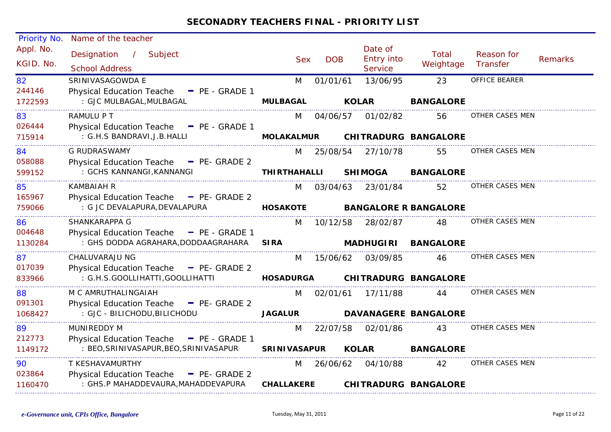| Priority No.           | Name of the teacher                                                                          |                     |            |                                                |                              |                        |                |
|------------------------|----------------------------------------------------------------------------------------------|---------------------|------------|------------------------------------------------|------------------------------|------------------------|----------------|
| Appl. No.<br>KGID. No. | Designation /<br>Subject<br><b>School Address</b>                                            | <b>Sex</b>          | <b>DOB</b> | Date of<br><b>Entry into</b><br><b>Service</b> | Total<br>Weightage           | Reason for<br>Transfer | <b>Remarks</b> |
| 82<br>244146           | SRINIVASAGOWDA E<br>Physical Education Teache - PE - GRADE 1                                 | M                   | 01/01/61   | 13/06/95                                       | 23                           | OFFICE BEARER          |                |
| 1722593                | : GJC MULBAGAL, MULBAGAL                                                                     | <b>MULBAGAL</b>     |            | <b>KOLAR</b>                                   | <b>BANGALORE</b>             |                        |                |
| 83<br>026444           | RAMULU P T<br>Physical Education Teache - PE - GRADE 1                                       | M                   | 04/06/57   | 01/02/82                                       | 56                           | OTHER CASES MEN        |                |
| 715914                 | : G.H.S BANDRAVI, J.B. HALLI                                                                 | <b>MOLAKALMUR</b>   |            |                                                | <b>CHITRADURG BANGALORE</b>  |                        |                |
| 84<br>058088           | <b>G RUDRASWAMY</b><br>Physical Education Teache - PE- GRADE 2                               | M                   |            | 25/08/54 27/10/78                              | 55                           | OTHER CASES MEN        |                |
| 599152                 | : GCHS KANNANGI, KANNANGI                                                                    | <b>THIRTHAHALLI</b> |            | <b>SHIMOGA</b>                                 | <b>BANGALORE</b>             |                        |                |
| 85                     | <b>KAMBAIAH R</b>                                                                            | M                   | 03/04/63   | 23/01/84                                       | 52                           | OTHER CASES MEN        |                |
| 165967<br>759066       | Physical Education Teache - PE- GRADE 2<br>: G JC DEVALAPURA, DEVALAPURA                     | <b>HOSAKOTE</b>     |            |                                                | <b>BANGALORE R BANGALORE</b> |                        |                |
| 86<br>004648           | SHANKARAPPA G<br>Physical Education Teache - PE - GRADE 1                                    | M                   | 10/12/58   | 28/02/87                                       | 48                           | OTHER CASES MEN        |                |
| 1130284                | : GHS DODDA AGRAHARA, DODDAAGRAHARA                                                          | <b>SIRA</b>         |            | <b>MADHUGIRI</b>                               | <b>BANGALORE</b>             |                        |                |
| 87<br>017039           | CHALUVARAJU NG<br>Physical Education Teache - PE- GRADE 2                                    | M                   | 15/06/62   | 03/09/85                                       | 46                           | OTHER CASES MEN        |                |
| 833966                 | : G.H.S.GOOLLIHATTI, GOOLLIHATTI                                                             | <b>HOSADURGA</b>    |            |                                                | <b>CHITRADURG BANGALORE</b>  |                        |                |
| 88<br>091301           | M C AMRUTHALINGAIAH<br>Physical Education Teache - PE- GRADE 2                               | M                   | 02/01/61   | 17/11/88                                       | 44                           | OTHER CASES MEN        |                |
| 1068427                | : GJC - BILICHODU, BILICHODU                                                                 | <b>JAGALUR</b>      |            |                                                | <b>DAVANAGERE BANGALORE</b>  |                        |                |
| 89                     | <b>MUNIREDDY M</b>                                                                           | M                   | 22/07/58   | 02/01/86                                       | 43                           | OTHER CASES MEN        |                |
| 212773<br>1149172      | Physical Education Teache - PE - GRADE 1<br>: BEO, SRINIVASAPUR, BEO, SRINIVASAPUR           | <b>SRINIVASAPUR</b> |            | <b>KOLAR</b>                                   | <b>BANGALORE</b>             |                        |                |
| 90                     | T KESHAVAMURTHY                                                                              | M                   | 26/06/62   | 04/10/88                                       | 42                           | OTHER CASES MEN        |                |
| 023864<br>1160470      | <b>Physical Education Teache</b><br>$P_{E}$ - GRADE 2<br>: GHS.P MAHADDEVAURA, MAHADDEVAPURA | <b>CHALLAKERE</b>   |            |                                                | <b>CHITRADURG BANGALORE</b>  |                        |                |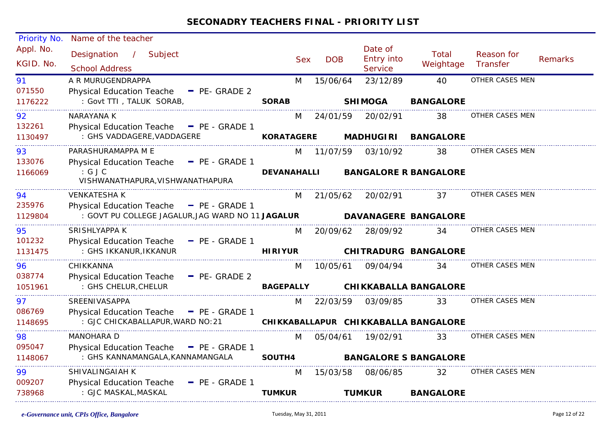| Priority No.           | Name of the teacher                                                                           |                    |            |            |                                  |                                      |                        |                |
|------------------------|-----------------------------------------------------------------------------------------------|--------------------|------------|------------|----------------------------------|--------------------------------------|------------------------|----------------|
| Appl. No.<br>KGID. No. | Designation<br>/ Subject<br><b>School Address</b>                                             |                    | <b>Sex</b> | <b>DOB</b> | Date of<br>Entry into<br>Service | <b>Total</b><br>Weightage            | Reason for<br>Transfer | <b>Remarks</b> |
| 91                     | A R MURUGENDRAPPA                                                                             | M                  |            | 15/06/64   | 23/12/89                         | 40                                   | OTHER CASES MEN        |                |
| 071550                 | <b>Physical Education Teache</b><br>$P_E$ - GRADE 2                                           |                    |            |            |                                  |                                      |                        |                |
| 1176222                | : Govt TTI, TALUK SORAB,                                                                      | <b>SORAB</b>       |            |            | <b>SHIMOGA</b>                   | <b>BANGALORE</b>                     |                        |                |
| 92                     | NARAYANA K                                                                                    | M                  |            | 24/01/59   | 20/02/91                         | 38                                   | OTHER CASES MEN        |                |
| 132261                 | Physical Education Teache - PE - GRADE 1                                                      |                    |            |            |                                  |                                      |                        |                |
| 1130497                | : GHS VADDAGERE, VADDAGERE                                                                    | <b>KORATAGERE</b>  |            |            | <b>MADHUGIRI</b>                 | <b>BANGALORE</b>                     |                        |                |
| 93                     | PARASHURAMAPPA M E                                                                            | M                  |            | 11/07/59   | 03/10/92                         | 38                                   | OTHER CASES MEN        |                |
| 133076                 | - PE - GRADE 1<br><b>Physical Education Teache</b>                                            |                    |            |            |                                  |                                      |                        |                |
| 1166069                | : GJC<br>VISHWANATHAPURA, VISHWANATHAPURA                                                     | <b>DEVANAHALLI</b> |            |            |                                  | <b>BANGALORE R BANGALORE</b>         |                        |                |
| 94                     | <b>VENKATESHA K</b>                                                                           | M                  |            | 21/05/62   | 20/02/91                         | 37                                   | OTHER CASES MEN        |                |
| 235976<br>1129804      | Physical Education Teache - PE - GRADE 1<br>: GOVT PU COLLEGE JAGALUR, JAG WARD NO 11 JAGALUR |                    |            |            |                                  | DAVANAGERE BANGALORE                 |                        |                |
| 95                     | SRISHLYAPPA K                                                                                 | M                  |            | 20/09/62   | 28/09/92                         | 34                                   | OTHER CASES MEN        |                |
| 101232                 | Physical Education Teache - PE - GRADE 1                                                      |                    |            |            |                                  |                                      |                        |                |
| 1131475                | : GHS IKKANUR, IKKANUR                                                                        | <b>HIRIYUR</b>     |            |            |                                  | <b>CHITRADURG BANGALORE</b>          |                        |                |
| 96                     | CHIKKANNA                                                                                     | M                  |            | 10/05/61   | 09/04/94                         | 34                                   | OTHER CASES MEN        |                |
| 038774                 | <b>Physical Education Teache</b><br>- PE- GRADE 2                                             |                    |            |            |                                  |                                      |                        |                |
| 1051961                | : GHS CHELUR, CHELUR                                                                          | <b>BAGEPALLY</b>   |            |            |                                  | <b>CHIKKABALLA BANGALORE</b>         |                        |                |
| 97                     | <b>SREENIVASAPPA</b>                                                                          | M                  |            | 22/03/59   | 03/09/85                         | 33                                   | OTHER CASES MEN        |                |
| 086769                 | Physical Education Teache - PE - GRADE 1                                                      |                    |            |            |                                  |                                      |                        |                |
| 1148695                | : GJC CHICKABALLAPUR, WARD NO: 21                                                             |                    |            |            |                                  | CHIKKABALLAPUR CHIKKABALLA BANGALORE |                        |                |
| 98                     | <b>MANOHARA D</b>                                                                             | M                  |            | 05/04/61   | 19/02/91                         | 33                                   | OTHER CASES MEN        |                |
| 095047                 | Physical Education Teache - PE - GRADE 1                                                      |                    |            |            |                                  |                                      |                        |                |
| 1148067                | : GHS KANNAMANGALA, KANNAMANGALA                                                              | SOUTH4             |            |            |                                  | <b>BANGALORE S BANGALORE</b>         |                        |                |
| 99                     | SHIVALINGAIAH K                                                                               | M                  |            | 15/03/58   | 08/06/85                         | 32                                   | OTHER CASES MEN        |                |
| 009207                 | <b>Physical Education Teache</b><br>$P_{E}$ - GRADE 1                                         |                    |            |            |                                  |                                      |                        |                |
| 738968                 | : GJC MASKAL, MASKAL                                                                          | <b>TUMKUR</b>      |            |            | <b>TUMKUR</b>                    | <b>BANGALORE</b>                     |                        |                |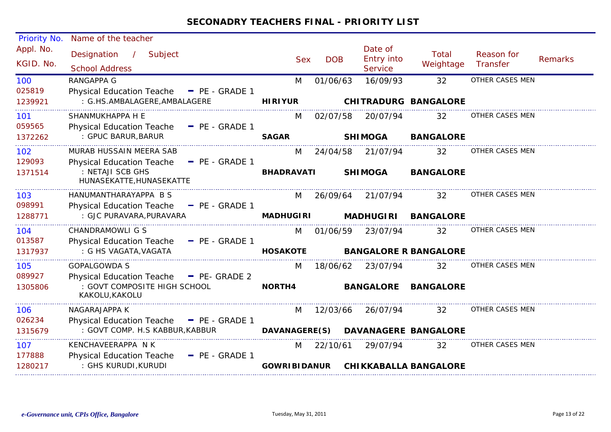| Priority No.           | Name of the teacher                                              |                     |            |                                         |                              |                        |                |
|------------------------|------------------------------------------------------------------|---------------------|------------|-----------------------------------------|------------------------------|------------------------|----------------|
| Appl. No.<br>KGID. No. | Subject<br>Designation<br>$\mathcal{L}$<br><b>School Address</b> | <b>Sex</b>          | <b>DOB</b> | Date of<br><b>Entry into</b><br>Service | <b>Total</b><br>Weightage    | Reason for<br>Transfer | <b>Remarks</b> |
| 100                    | <b>RANGAPPA G</b>                                                | M                   | 01/06/63   | 16/09/93                                | 32                           | OTHER CASES MEN        |                |
| 025819                 | <b>Physical Education Teache</b><br>$P_{E}$ - GRADE 1            |                     |            |                                         |                              |                        |                |
| 1239921                | : G.HS.AMBALAGERE, AMBALAGERE                                    | <b>HIRIYUR</b>      |            |                                         | <b>CHITRADURG BANGALORE</b>  |                        |                |
| 101                    | SHANMUKHAPPA H E                                                 | M                   | 02/07/58   | 20/07/94                                | 32                           | OTHER CASES MEN        |                |
| 059565                 | <b>Physical Education Teache</b><br>$=$ PE - GRADE 1             |                     |            |                                         |                              |                        |                |
| 1372262                | : GPUC BARUR, BARUR                                              | <b>SAGAR</b>        |            | <b>SHIMOGA</b>                          | <b>BANGALORE</b>             |                        |                |
| 102                    | MURAB HUSSAIN MEERA SAB                                          | M                   | 24/04/58   | 21/07/94                                | 32                           | OTHER CASES MEN        |                |
| 129093                 | <b>Physical Education Teache</b><br>$P = PE - GRADE 1$           |                     |            |                                         |                              |                        |                |
| 1371514                | : NETAJI SCB GHS<br>HUNASEKATTE, HUNASEKATTE                     | <b>BHADRAVATI</b>   |            | <b>SHIMOGA</b>                          | <b>BANGALORE</b>             |                        |                |
| 103                    | HANUMANTHARAYAPPA B S                                            | M                   | 26/09/64   | 21/07/94                                | 32                           | OTHER CASES MEN        |                |
| 098991                 | Physical Education Teache - PE - GRADE 1                         |                     |            |                                         |                              |                        |                |
| 1288771                | : GJC PURAVARA, PURAVARA                                         | <b>MADHUGIRI</b>    |            | <b>MADHUGIRI</b>                        | <b>BANGALORE</b>             |                        |                |
| 104                    | CHANDRAMOWLI G S                                                 | M                   | 01/06/59   | 23/07/94                                | 32                           | OTHER CASES MEN        |                |
| 013587                 | <b>Physical Education Teache</b><br>$-$ PE - GRADE 1             |                     |            |                                         |                              |                        |                |
| 1317937                | : G HS VAGATA, VAGATA                                            | <b>HOSAKOTE</b>     |            |                                         | <b>BANGALORE R BANGALORE</b> |                        |                |
| 105                    | <b>GOPALGOWDA S</b>                                              | M                   | 18/06/62   | 23/07/94                                | 32                           | OTHER CASES MEN        |                |
| 089927                 | Physical Education Teache - PE- GRADE 2                          |                     |            |                                         |                              |                        |                |
| 1305806                | : GOVT COMPOSITE HIGH SCHOOL<br>KAKOLU, KAKOLU                   | NORTH4              |            | <b>BANGALORE</b>                        | <b>BANGALORE</b>             |                        |                |
| 106                    | NAGARAJAPPA K                                                    | M                   | 12/03/66   | 26/07/94                                | 32                           | OTHER CASES MEN        |                |
| 026234                 | <b>Physical Education Teache</b><br>$P_{E}$ - GRADE 1            |                     |            |                                         |                              |                        |                |
| 1315679                | : GOVT COMP. H.S KABBUR, KABBUR                                  | DAVANAGERE(S)       |            |                                         | <b>DAVANAGERE BANGALORE</b>  |                        |                |
| 107                    | KENCHAVEERAPPA N K                                               | M                   | 22/10/61   | 29/07/94                                | 32                           | OTHER CASES MEN        |                |
| 177888                 | <b>Physical Education Teache</b><br>- PE - GRADE 1               |                     |            |                                         |                              |                        |                |
| 1280217                | : GHS KURUDI, KURUDI                                             | <b>GOWRIBIDANUR</b> |            |                                         | <b>CHIKKABALLA BANGALORE</b> |                        |                |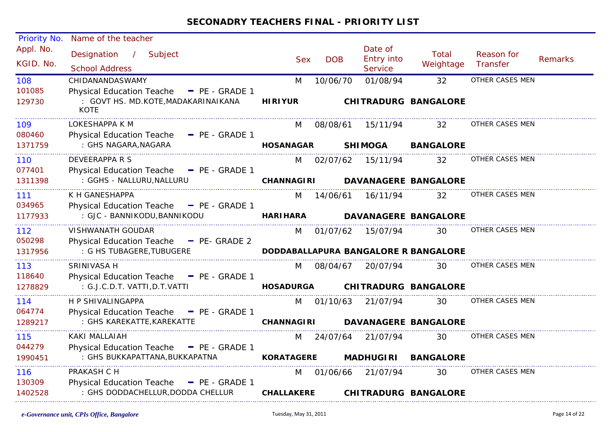| <b>Priority No.</b>    | Name of the teacher                                                                                  |                   |            |                                         |                                      |                        |         |
|------------------------|------------------------------------------------------------------------------------------------------|-------------------|------------|-----------------------------------------|--------------------------------------|------------------------|---------|
| Appl. No.<br>KGID. No. | Designation<br>$\frac{1}{2}$<br>Subject<br><b>School Address</b>                                     | <b>Sex</b>        | <b>DOB</b> | Date of<br>Entry into<br><b>Service</b> | Total<br>Weightage                   | Reason for<br>Transfer | Remarks |
| 108                    | CHIDANANDASWAMY                                                                                      | M                 | 10/06/70   | 01/08/94                                | 32                                   | OTHER CASES MEN        |         |
| 101085<br>129730       | <b>Physical Education Teache</b><br>$P_{E}$ - GRADE 1<br>: GOVT HS. MD.KOTE, MADAKARINAIKANA<br>KOTE | <b>HIRIYUR</b>    |            |                                         | <b>CHITRADURG BANGALORE</b>          |                        |         |
| 109                    | LOKESHAPPA K M                                                                                       | M                 | 08/08/61   | 15/11/94                                | 32                                   | OTHER CASES MEN        |         |
| 080460<br>1371759      | Physical Education Teache - PE - GRADE 1<br>: GHS NAGARA, NAGARA                                     | <b>HOSANAGAR</b>  |            | <b>SHIMOGA</b>                          | <b>BANGALORE</b>                     |                        |         |
| 110                    | DEVEERAPPA R S                                                                                       |                   |            | M 02/07/62 15/11/94                     | 32                                   | OTHER CASES MEN        |         |
| 077401<br>1311398      | Physical Education Teache - PE - GRADE 1<br>: GGHS - NALLURU, NALLURU                                | <b>CHANNAGIRI</b> |            |                                         | <b>DAVANAGERE BANGALORE</b>          |                        |         |
| 111                    | K H GANESHAPPA                                                                                       | M                 | 14/06/61   | 16/11/94                                | 32                                   | OTHER CASES MEN        |         |
| 034965<br>1177933      | Physical Education Teache - PE - GRADE 1<br>: GJC - BANNIKODU, BANNIKODU                             | <b>HARI HARA</b>  |            |                                         | <b>DAVANAGERE BANGALORE</b>          |                        |         |
| 112<br>050298          | VISHWANATH GOUDAR<br>Physical Education Teache - PE- GRADE 2                                         | M                 | 01/07/62   | 15/07/94                                | 30                                   | OTHER CASES MEN        |         |
| 1317956                | : G HS TUBAGERE, TUBUGERE                                                                            |                   |            |                                         | DODDABALLAPURA BANGALORE R BANGALORE |                        |         |
| 113<br>118640          | SRINIVASA H<br>Physical Education Teache - PE - GRADE 1                                              | M                 | 08/04/67   | 20/07/94                                | 30                                   | OTHER CASES MEN        |         |
| 1278829                | : G.J.C.D.T. VATTI, D.T. VATTI                                                                       | <b>HOSADURGA</b>  |            |                                         | <b>CHITRADURG BANGALORE</b>          |                        |         |
| 114<br>064774          | H P SHIVALINGAPPA<br>Physical Education Teache - PE - GRADE 1                                        |                   | M 01/10/63 | 21/07/94                                | 30                                   | OTHER CASES MEN        |         |
| 1289217                | : GHS KAREKATTE, KAREKATTE                                                                           | <b>CHANNAGIRI</b> |            |                                         | <b>DAVANAGERE BANGALORE</b>          |                        |         |
| 115<br>044279          | <b>KAKI MALLAIAH</b><br>Physical Education Teache - PE - GRADE 1                                     | M                 | 24/07/64   | 21/07/94                                | 30                                   | OTHER CASES MEN        |         |
| 1990451                | : GHS BUKKAPATTANA, BUKKAPATNA                                                                       | <b>KORATAGERE</b> |            | <b>MADHUGIRI</b>                        | <b>BANGALORE</b>                     |                        |         |
| 116<br>130309          | PRAKASH C H<br><b>Physical Education Teache</b><br>$\blacksquare$ PE - GRADE 1                       | M                 | 01/06/66   | 21/07/94                                | 30                                   | OTHER CASES MEN        |         |
| 1402528                | : GHS DODDACHELLUR, DODDA CHELLUR                                                                    | <b>CHALLAKERE</b> |            |                                         | <b>CHITRADURG BANGALORE</b>          |                        |         |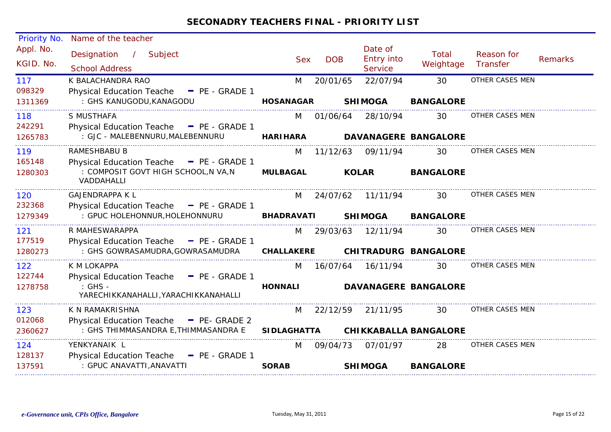| Priority No.           | Name of the teacher                                              |                    |            |                                         |                              |                        |                |
|------------------------|------------------------------------------------------------------|--------------------|------------|-----------------------------------------|------------------------------|------------------------|----------------|
| Appl. No.<br>KGID. No. | Subject<br>Designation<br>$\mathcal{L}$<br><b>School Address</b> | <b>Sex</b>         | <b>DOB</b> | Date of<br><b>Entry into</b><br>Service | Total<br>Weightage           | Reason for<br>Transfer | <b>Remarks</b> |
| 117                    | K BALACHANDRA RAO                                                | M                  | 20/01/65   | 22/07/94                                | 30                           | OTHER CASES MEN        |                |
| 098329                 | <b>Physical Education Teache</b><br>$P_{E}$ - GRADE 1            |                    |            |                                         |                              |                        |                |
| 1311369                | : GHS KANUGODU, KANAGODU                                         | <b>HOSANAGAR</b>   |            | <b>SHIMOGA</b>                          | <b>BANGALORE</b>             |                        |                |
| 118                    | S MUSTHAFA                                                       | M                  | 01/06/64   | 28/10/94                                | 30                           | OTHER CASES MEN        |                |
| 242291                 | Physical Education Teache - PE - GRADE 1                         |                    |            |                                         |                              |                        |                |
| 1265783                | : GJC - MALEBENNURU, MALEBENNURU                                 | <b>HARIHARA</b>    |            |                                         | <b>DAVANAGERE BANGALORE</b>  |                        |                |
| 119                    | RAMESHBABU B                                                     | M                  | 11/12/63   | 09/11/94                                | 30                           | OTHER CASES MEN        |                |
| 165148                 | Physical Education Teache - PE - GRADE 1                         |                    |            |                                         |                              |                        |                |
| 1280303                | : COMPOSIT GOVT HIGH SCHOOL, N VA, N<br>VADDAHALLI               | <b>MULBAGAL</b>    |            | <b>KOLAR</b>                            | <b>BANGALORE</b>             |                        |                |
| 120                    | <b>GAJENDRAPPA K L</b>                                           | M                  | 24/07/62   | 11/11/94                                | 30                           | OTHER CASES MEN        |                |
| 232368                 | Physical Education Teache - PE - GRADE 1                         |                    |            |                                         |                              |                        |                |
| 1279349                | : GPUC HOLEHONNUR, HOLEHONNURU                                   | <b>BHADRAVATI</b>  |            | <b>SHIMOGA</b>                          | <b>BANGALORE</b>             |                        |                |
| 121                    | R MAHESWARAPPA                                                   | M                  | 29/03/63   | 12/11/94                                | 30                           | OTHER CASES MEN        |                |
| 177519                 | Physical Education Teache - PE - GRADE 1                         |                    |            |                                         |                              |                        |                |
| 1280273                | : GHS GOWRASAMUDRA, GOWRASAMUDRA                                 | <b>CHALLAKERE</b>  |            |                                         | <b>CHITRADURG BANGALORE</b>  |                        |                |
| 122                    | K M LOKAPPA                                                      | M                  | 16/07/64   | 16/11/94                                | 30                           | OTHER CASES MEN        |                |
| 122744                 | <b>Physical Education Teache</b><br>- PE - GRADE 1               |                    |            |                                         |                              |                        |                |
| 1278758                | : GHS -<br>YARECHIKKANAHALLI, YARACHIKKANAHALLI                  | <b>HONNALI</b>     |            |                                         | <b>DAVANAGERE BANGALORE</b>  |                        |                |
| 123                    | K N RAMAKRISHNA                                                  | M                  | 22/12/59   | 21/11/95                                | 30                           | OTHER CASES MEN        |                |
| 012068                 | <b>Physical Education Teache</b><br>$-$ PE- GRADE 2              |                    |            |                                         |                              |                        |                |
| 2360627                | : GHS THIMMASANDRA E, THIMMASANDRA E                             | <b>SIDLAGHATTA</b> |            |                                         | <b>CHIKKABALLA BANGALORE</b> |                        |                |
| 124                    | YENKYANAIK L                                                     | M                  | 09/04/73   | 07/01/97                                | 28                           | OTHER CASES MEN        |                |
| 128137                 | <b>Physical Education Teache</b><br>$P_{E}$ - GRADE 1            |                    |            |                                         |                              |                        |                |
| 137591                 | : GPUC ANAVATTI, ANAVATTI                                        | <b>SORAB</b>       |            | <b>SHIMOGA</b>                          | <b>BANGALORE</b>             |                        |                |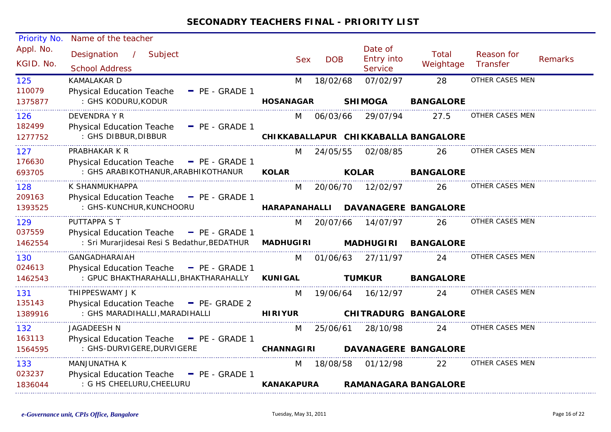| Priority No.           | Name of the teacher                                              |                      |            |                                         |                                      |                        |                |
|------------------------|------------------------------------------------------------------|----------------------|------------|-----------------------------------------|--------------------------------------|------------------------|----------------|
| Appl. No.<br>KGID. No. | Designation<br>$\frac{1}{2}$<br>Subject<br><b>School Address</b> | <b>Sex</b>           | <b>DOB</b> | Date of<br>Entry into<br><b>Service</b> | <b>Total</b><br>Weightage            | Reason for<br>Transfer | <b>Remarks</b> |
| 125                    | <b>KAMALAKAR D</b>                                               | M                    | 18/02/68   | 07/02/97                                | 28                                   | OTHER CASES MEN        |                |
| 110079                 | <b>Physical Education Teache</b><br>$-$ PE - GRADE 1             |                      |            |                                         |                                      |                        |                |
| 1375877                | : GHS KODURU, KODUR                                              | <b>HOSANAGAR</b>     |            | <b>SHIMOGA</b>                          | <b>BANGALORE</b>                     |                        |                |
| 126                    | <b>DEVENDRA Y R</b>                                              | M                    | 06/03/66   | 29/07/94                                | 27.5                                 | OTHER CASES MEN        |                |
| 182499                 | <b>Physical Education Teache</b><br>$-$ PE - GRADE 1             |                      |            |                                         |                                      |                        |                |
| 1277752                | : GHS DIBBUR, DIBBUR                                             |                      |            |                                         | CHIKKABALLAPUR CHIKKABALLA BANGALORE |                        |                |
| 127                    | PRABHAKAR K R                                                    | M                    | 24/05/55   | 02/08/85                                | 26                                   | OTHER CASES MEN        |                |
| 176630                 | Physical Education Teache - PE - GRADE 1                         |                      |            |                                         |                                      |                        |                |
| 693705                 | : GHS ARABIKOTHANUR, ARABHIKOTHANUR                              | <b>KOLAR</b>         |            | <b>KOLAR</b>                            | <b>BANGALORE</b>                     |                        |                |
| 128                    | K SHANMUKHAPPA                                                   | M                    | 20/06/70   | 12/02/97                                | 26                                   | OTHER CASES MEN        |                |
| 209163                 | Physical Education Teache - PE - GRADE 1                         |                      |            |                                         |                                      |                        |                |
| 1393525                | : GHS-KUNCHUR, KUNCHOORU                                         | <b>HARAPANAHALLI</b> |            |                                         | <b>DAVANAGERE BANGALORE</b>          |                        |                |
| 129                    | PUTTAPPA S T                                                     | M                    | 20/07/66   | 14/07/97                                | 26                                   | OTHER CASES MEN        |                |
| 037559                 | Physical Education Teache - PE - GRADE 1                         |                      |            |                                         |                                      |                        |                |
| 1462554                | : Sri Murarjidesai Resi S Bedathur, BEDATHUR                     | <b>MADHUGIRI</b>     |            | <b>MADHUGIRI</b>                        | <b>BANGALORE</b>                     |                        |                |
| 130                    | <b>GANGADHARAIAH</b>                                             | M                    | 01/06/63   | 27/11/97                                | 24                                   | OTHER CASES MEN        |                |
| 024613                 | <b>Physical Education Teache</b><br>$P_{E}$ - GRADE 1            |                      |            |                                         |                                      |                        |                |
| 1462543                | : GPUC BHAKTHARAHALLI, BHAKTHARAHALLY                            | <b>KUNIGAL</b>       |            | <b>TUMKUR</b>                           | <b>BANGALORE</b>                     |                        |                |
| 131                    | THIPPESWAMY J K                                                  | M                    | 19/06/64   | 16/12/97                                | 24                                   | OTHER CASES MEN        |                |
| 135143                 | Physical Education Teache - PE- GRADE 2                          |                      |            |                                         |                                      |                        |                |
| 1389916                | : GHS MARADIHALLI, MARADIHALLI                                   | <b>HIRIYUR</b>       |            |                                         | <b>CHITRADURG BANGALORE</b>          |                        |                |
| 132                    | JAGADEESH N                                                      | M                    | 25/06/61   | 28/10/98                                | 24                                   | OTHER CASES MEN        |                |
| 163113                 | Physical Education Teache - PE - GRADE 1                         | <b>CHANNAGIRI</b>    |            |                                         |                                      |                        |                |
| 1564595                | : GHS-DURVIGERE, DURVIGERE                                       |                      |            |                                         | <b>DAVANAGERE BANGALORE</b>          |                        |                |
| 133                    | MANJUNATHA K                                                     | M                    | 18/08/58   | 01/12/98                                | 22                                   | OTHER CASES MEN        |                |
| 023237                 | <b>Physical Education Teache</b><br>$-$ PE - GRADE 1             |                      |            |                                         |                                      |                        |                |
| 1836044                | : G HS CHEELURU, CHEELURU                                        | <b>KANAKAPURA</b>    |            |                                         | <b>RAMANAGARA BANGALORE</b>          |                        |                |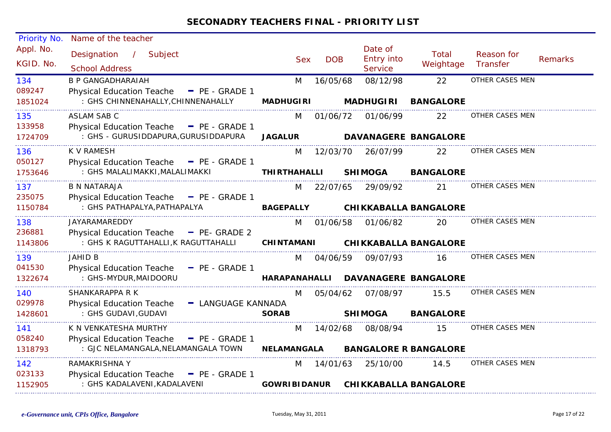| Priority No.           | Name of the teacher                                              |                      |            |                                                |                              |                        |                |
|------------------------|------------------------------------------------------------------|----------------------|------------|------------------------------------------------|------------------------------|------------------------|----------------|
| Appl. No.<br>KGID. No. | Designation<br>$\frac{1}{2}$<br>Subject<br><b>School Address</b> | <b>Sex</b>           | <b>DOB</b> | Date of<br><b>Entry into</b><br><b>Service</b> | Total<br>Weightage           | Reason for<br>Transfer | <b>Remarks</b> |
| 134                    | <b>B P GANGADHARAIAH</b>                                         | M                    | 16/05/68   | 08/12/98                                       | 22                           | OTHER CASES MEN        |                |
| 089247                 | Physical Education Teache - PE - GRADE 1                         |                      |            |                                                |                              |                        |                |
| 1851024                | : GHS CHINNENAHALLY, CHINNENAHALLY                               | <b>MADHUGIRI</b>     |            | <b>MADHUGIRI</b>                               | <b>BANGALORE</b>             |                        |                |
| 135                    | <b>ASLAM SAB C</b>                                               | M                    | 01/06/72   | 01/06/99                                       | 22                           | OTHER CASES MEN        |                |
| 133958                 | Physical Education Teache - PE - GRADE 1                         |                      |            |                                                |                              |                        |                |
| 1724709                | : GHS - GURUSIDDAPURA, GURUSIDDAPURA                             | <b>JAGALUR</b>       |            | <b>DAVANAGERE BANGALORE</b>                    |                              |                        |                |
| 136                    | K V RAMESH                                                       | M                    | 12/03/70   | 26/07/99                                       | 22                           | OTHER CASES MEN        |                |
| 050127                 | Physical Education Teache - PE - GRADE 1                         |                      |            |                                                |                              |                        |                |
| 1753646                | : GHS MALALIMAKKI, MALALIMAKKI                                   | <b>THIRTHAHALLI</b>  |            | <b>SHIMOGA</b>                                 | <b>BANGALORE</b>             |                        |                |
| 137                    | <b>B N NATARAJA</b>                                              | M                    | 22/07/65   | 29/09/92                                       | 21                           | OTHER CASES MEN        |                |
| 235075                 | Physical Education Teache - PE - GRADE 1                         |                      |            |                                                |                              |                        |                |
| 1150784                | : GHS PATHAPALYA, PATHAPALYA                                     | <b>BAGEPALLY</b>     |            | <b>CHIKKABALLA BANGALORE</b>                   |                              |                        |                |
| 138                    | JAYARAMAREDDY                                                    | M                    | 01/06/58   | 01/06/82                                       | 20                           | OTHER CASES MEN        |                |
| 236881                 | Physical Education Teache - PE- GRADE 2                          |                      |            |                                                |                              |                        |                |
| 1143806                | : GHS K RAGUTTAHALLI, K RAGUTTAHALLI                             | <b>CHINTAMANI</b>    |            | <b>CHIKKABALLA BANGALORE</b>                   |                              |                        |                |
| 139                    | <b>JAHID B</b>                                                   | M                    | 04/06/59   | 09/07/93                                       | 16                           | OTHER CASES MEN        |                |
| 041530                 | <b>Physical Education Teache</b><br>$P = PE - GRADE 1$           |                      |            |                                                |                              |                        |                |
| 1322674                | : GHS-MYDUR, MAIDOORU                                            | <b>HARAPANAHALLI</b> |            | <b>DAVANAGERE BANGALORE</b>                    |                              |                        |                |
| 140                    | SHANKARAPPA R K                                                  | M                    | 05/04/62   | 07/08/97                                       | 15.5                         | OTHER CASES MEN        |                |
| 029978                 | <b>Physical Education Teache</b><br>- LANGUAGE KANNADA           |                      |            |                                                |                              |                        |                |
| 1428601                | : GHS GUDAVI, GUDAVI                                             | <b>SORAB</b>         |            | <b>SHIMOGA</b>                                 | <b>BANGALORE</b>             |                        |                |
| 141                    | K N VENKATESHA MURTHY                                            | M                    | 14/02/68   | 08/08/94                                       | 15                           | OTHER CASES MEN        |                |
| 058240                 | Physical Education Teache - PE - GRADE 1                         |                      |            |                                                |                              |                        |                |
| 1318793                | : GJC NELAMANGALA, NELAMANGALA TOWN                              | <b>NELAMANGALA</b>   |            | <b>BANGALORE R BANGALORE</b>                   |                              |                        |                |
| 142                    | <b>RAMAKRISHNA Y</b>                                             | M                    | 14/01/63   | 25/10/00                                       | 14.5                         | OTHER CASES MEN        |                |
| 023133                 | <b>Physical Education Teache</b><br>$-$ PE - GRADE 1             |                      |            |                                                |                              |                        |                |
| 1152905                | : GHS KADALAVENI, KADALAVENI                                     | <b>GOWRIBIDANUR</b>  |            |                                                | <b>CHIKKABALLA BANGALORE</b> |                        |                |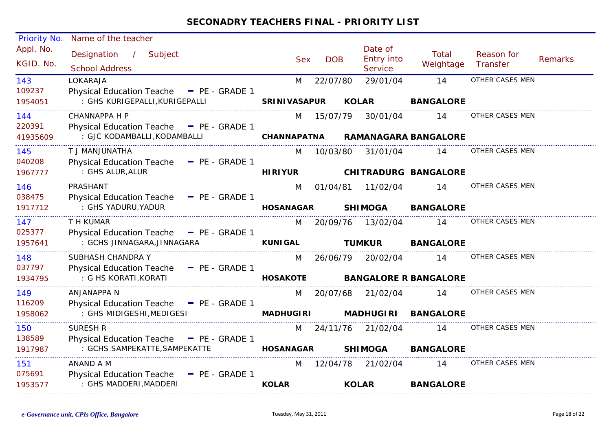| Priority No.           | Name of the teacher                                   |                     |            |                                         |                              |                        |                |
|------------------------|-------------------------------------------------------|---------------------|------------|-----------------------------------------|------------------------------|------------------------|----------------|
| Appl. No.<br>KGID. No. | Designation /<br>Subject<br><b>School Address</b>     | <b>Sex</b>          | <b>DOB</b> | Date of<br>Entry into<br><b>Service</b> | <b>Total</b><br>Weightage    | Reason for<br>Transfer | <b>Remarks</b> |
| 143                    | LOKARAJA                                              | M                   | 22/07/80   | 29/01/04                                | 14                           | OTHER CASES MEN        |                |
| 109237                 | Physical Education Teache - PE - GRADE 1              |                     |            |                                         |                              |                        |                |
| 1954051                | : GHS KURIGEPALLI, KURIGEPALLI                        | <b>SRINIVASAPUR</b> |            | <b>KOLAR</b>                            | <b>BANGALORE</b>             |                        |                |
| 144                    | <b>CHANNAPPA H P</b>                                  | M                   | 15/07/79   | 30/01/04                                | 14                           | OTHER CASES MEN        |                |
| 220391                 | Physical Education Teache - PE - GRADE 1              |                     |            |                                         |                              |                        |                |
| 41935609               | : GJC KODAMBALLI, KODAMBALLI                          | <b>CHANNAPATNA</b>  |            |                                         | <b>RAMANAGARA BANGALORE</b>  |                        |                |
| 145                    | T J MANJUNATHA                                        | M                   | 10/03/80   | 31/01/04                                | 14                           | OTHER CASES MEN        |                |
| 040208                 | Physical Education Teache - PE - GRADE 1              |                     |            |                                         |                              |                        |                |
| 1967777                | : GHS ALUR, ALUR                                      | <b>HIRIYUR</b>      |            |                                         | <b>CHITRADURG BANGALORE</b>  |                        |                |
| 146                    | PRASHANT                                              | M                   | 01/04/81   | 11/02/04                                | 14                           | OTHER CASES MEN        |                |
| 038475                 | Physical Education Teache - PE - GRADE 1              |                     |            |                                         |                              |                        |                |
| 1917712                | : GHS YADURU, YADUR                                   | <b>HOSANAGAR</b>    |            | <b>SHIMOGA</b>                          | <b>BANGALORE</b>             |                        |                |
| 147                    | T H KUMAR                                             | M                   | 20/09/76   | 13/02/04                                | 14                           | OTHER CASES MEN        |                |
| 025377                 | Physical Education Teache - PE - GRADE 1              |                     |            |                                         |                              |                        |                |
| 1957641                | : GCHS JINNAGARA, JINNAGARA                           | <b>KUNIGAL</b>      |            | <b>TUMKUR</b>                           | <b>BANGALORE</b>             |                        |                |
| 148                    | SUBHASH CHANDRA Y                                     | M                   | 26/06/79   | 20/02/04                                | 14                           | OTHER CASES MEN        |                |
| 037797                 | Physical Education Teache - PE - GRADE 1              |                     |            |                                         |                              |                        |                |
| 1934795                | : G HS KORATI, KORATI                                 | <b>HOSAKOTE</b>     |            |                                         | <b>BANGALORE R BANGALORE</b> |                        |                |
| 149                    | <b>ANJANAPPA N</b>                                    | M                   | 20/07/68   | 21/02/04                                | 14                           | OTHER CASES MEN        |                |
| 116209                 | Physical Education Teache - PE - GRADE 1              |                     |            |                                         |                              |                        |                |
| 1958062                | : GHS MIDIGESHI, MEDIGESI                             | <b>MADHUGIRI</b>    |            | <b>MADHUGIRI</b>                        | <b>BANGALORE</b>             |                        |                |
| 150                    | <b>SURESH R</b>                                       | M                   | 24/11/76   | 21/02/04                                | 14                           | OTHER CASES MEN        |                |
| 138589                 | Physical Education Teache - PE - GRADE 1              |                     |            |                                         |                              |                        |                |
| 1917987                | : GCHS SAMPEKATTE, SAMPEKATTE                         | <b>HOSANAGAR</b>    |            | <b>SHIMOGA</b>                          | <b>BANGALORE</b>             |                        |                |
| 151                    | ANAND A M                                             | M                   | 12/04/78   | 21/02/04                                | 14                           | OTHER CASES MEN        |                |
| 075691                 | <b>Physical Education Teache</b><br>$P_{E}$ - GRADE 1 |                     |            |                                         |                              |                        |                |
| 1953577                | : GHS MADDERI, MADDERI                                | <b>KOLAR</b>        |            | <b>KOLAR</b>                            | <b>BANGALORE</b>             |                        |                |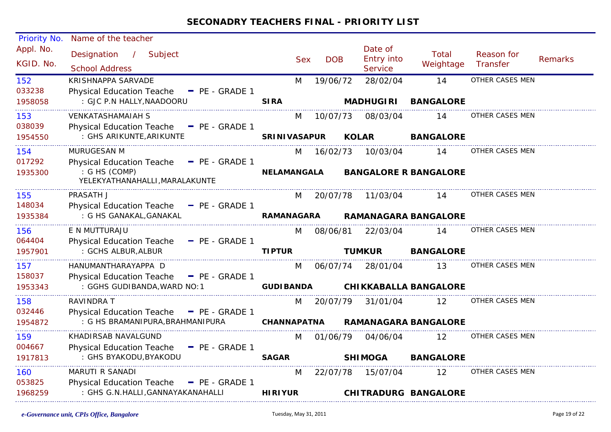| Priority No.           | Name of the teacher                                  |                     |            |              |                                         |                              |                        |                |
|------------------------|------------------------------------------------------|---------------------|------------|--------------|-----------------------------------------|------------------------------|------------------------|----------------|
| Appl. No.<br>KGID. No. | Designation<br>/ Subject<br><b>School Address</b>    | <b>Sex</b>          | <b>DOB</b> |              | Date of<br>Entry into<br><b>Service</b> | Total<br>Weightage           | Reason for<br>Transfer | <b>Remarks</b> |
| 152                    | KRISHNAPPA SARVADE                                   | M                   | 19/06/72   |              | 28/02/04                                | 14                           | OTHER CASES MEN        |                |
| 033238                 | <b>Physical Education Teache</b><br>$-$ PE - GRADE 1 |                     |            |              |                                         |                              |                        |                |
| 1958058                | : GJC P.N HALLY, NAADOORU                            | <b>SIRA</b>         |            |              | <b>MADHUGIRI</b>                        | <b>BANGALORE</b>             |                        |                |
| 153                    | <b>VENKATASHAMAIAH S</b>                             | M                   | 10/07/73   |              | 08/03/04                                | 14                           | OTHER CASES MEN        |                |
| 038039                 | Physical Education Teache - PE - GRADE 1             |                     |            |              |                                         |                              |                        |                |
| 1954550                | : GHS ARIKUNTE, ARIKUNTE                             | <b>SRINIVASAPUR</b> |            | <b>KOLAR</b> |                                         | <b>BANGALORE</b>             |                        |                |
| 154                    | MURUGESAN M                                          | M                   | 16/02/73   |              | 10/03/04                                | 14                           | OTHER CASES MEN        |                |
| 017292                 | Physical Education Teache - PE - GRADE 1             |                     |            |              |                                         |                              |                        |                |
| 1935300                | : G HS (COMP)<br>YELEKYATHANAHALLI, MARALAKUNTE      | <b>NELAMANGALA</b>  |            |              |                                         | <b>BANGALORE R BANGALORE</b> |                        |                |
| 155                    | PRASATH J                                            |                     | M 20/07/78 |              | 11/03/04                                | 14                           | OTHER CASES MEN        |                |
| 148034                 | Physical Education Teache - PE - GRADE 1             |                     |            |              |                                         |                              |                        |                |
| 1935384                | : G HS GANAKAL, GANAKAL                              | <b>RAMANAGARA</b>   |            |              |                                         | <b>RAMANAGARA BANGALORE</b>  |                        |                |
| 156                    | E N MUTTURAJU                                        | M                   | 08/06/81   |              | 22/03/04                                | 14                           | OTHER CASES MEN        |                |
| 064404                 | Physical Education Teache - PE - GRADE 1             |                     |            |              |                                         |                              |                        |                |
| 1957901                | : GCHS ALBUR, ALBUR                                  | <b>TIPTUR</b>       |            |              | <b>TUMKUR</b>                           | <b>BANGALORE</b>             |                        |                |
| 157                    | HANUMANTHARAYAPPA D                                  | M                   | 06/07/74   |              | 28/01/04                                | 13                           | OTHER CASES MEN        |                |
| 158037                 | Physical Education Teache - PE - GRADE 1             |                     |            |              |                                         |                              |                        |                |
| 1953343                | : GGHS GUDIBANDA, WARD NO: 1                         | <b>GUDI BANDA</b>   |            |              |                                         | <b>CHIKKABALLA BANGALORE</b> |                        |                |
| 158                    | RAVINDRA T                                           | M                   | 20/07/79   |              | 31/01/04                                | $12 \overline{ }$            | OTHER CASES MEN        |                |
| 032446                 | <b>Physical Education Teache</b><br>$=$ PE - GRADE 1 |                     |            |              |                                         |                              |                        |                |
| 1954872                | : G HS BRAMANIPURA, BRAHMANIPURA                     | <b>CHANNAPATNA</b>  |            |              |                                         | <b>RAMANAGARA BANGALORE</b>  |                        |                |
| 159                    | KHADIRSAB NAVALGUND                                  | M                   | 01/06/79   |              | 04/06/04                                | 12                           | OTHER CASES MEN        |                |
| 004667                 | Physical Education Teache - PE - GRADE 1             |                     |            |              |                                         |                              |                        |                |
| 1917813                | : GHS BYAKODU, BYAKODU                               | <b>SAGAR</b>        |            |              | <b>SHIMOGA</b>                          | <b>BANGALORE</b>             |                        |                |
| 160                    | MARUTI R SANADI                                      | M                   | 22/07/78   |              | 15/07/04                                | 12                           | OTHER CASES MEN        |                |
| 053825                 | Physical Education Teache - PE - GRADE 1             |                     |            |              |                                         |                              |                        |                |
| 1968259                | : GHS G.N.HALLI, GANNAYAKANAHALLI                    | <b>HIRIYUR</b>      |            |              |                                         | <b>CHITRADURG BANGALORE</b>  |                        |                |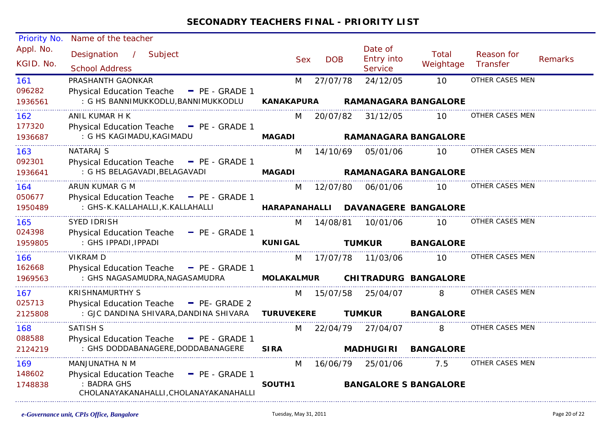| Priority No.           | Name of the teacher                                                                         |                   |            |                                         |                           |                        |                |
|------------------------|---------------------------------------------------------------------------------------------|-------------------|------------|-----------------------------------------|---------------------------|------------------------|----------------|
| Appl. No.<br>KGID. No. | Designation /<br>Subject<br><b>School Address</b>                                           | <b>Sex</b>        | <b>DOB</b> | Date of<br>Entry into<br><b>Service</b> | <b>Total</b><br>Weightage | Reason for<br>Transfer | <b>Remarks</b> |
|                        |                                                                                             |                   |            |                                         |                           |                        |                |
| 161<br>096282          | PRASHANTH GAONKAR                                                                           | M                 | 27/07/78   | 24/12/05                                | 10                        | OTHER CASES MEN        |                |
| 1936561                | <b>Physical Education Teache</b><br>$=$ PE - GRADE 1<br>: G HS BANNIMUKKODLU, BANNIMUKKODLU | <b>KANAKAPURA</b> |            | <b>RAMANAGARA BANGALORE</b>             |                           |                        |                |
| 162                    | ANIL KUMAR H K                                                                              | M                 | 20/07/82   | 31/12/05                                | 10                        | OTHER CASES MEN        |                |
| 177320                 | Physical Education Teache - PE - GRADE 1                                                    |                   |            |                                         |                           |                        |                |
| 1936687                | : G HS KAGIMADU, KAGIMADU                                                                   | <b>MAGADI</b>     |            | <b>RAMANAGARA BANGALORE</b>             |                           |                        |                |
| 163                    | <b>NATARAJ S</b>                                                                            | M                 | 14/10/69   | 05/01/06                                | 10                        | OTHER CASES MEN        |                |
| 092301                 | Physical Education Teache - PE - GRADE 1                                                    |                   |            |                                         |                           |                        |                |
| 1936641                | : G HS BELAGAVADI, BELAGAVADI                                                               | <b>MAGADI</b>     |            | <b>RAMANAGARA BANGALORE</b>             |                           |                        |                |
| 164                    | ARUN KUMAR G M                                                                              | M                 | 12/07/80   | 06/01/06                                | 10                        | OTHER CASES MEN        |                |
| 050677                 | Physical Education Teache - PE - GRADE 1                                                    |                   |            |                                         |                           |                        |                |
| 1950489                | : GHS-K.KALLAHALLI, K.KALLAHALLI                                                            | HARAPANAHALLI     |            | <b>DAVANAGERE BANGALORE</b>             |                           |                        |                |
| 165                    | <b>SYED IDRISH</b>                                                                          | M                 | 14/08/81   | 10/01/06                                | 10                        | OTHER CASES MEN        |                |
| 024398                 | Physical Education Teache - PE - GRADE 1                                                    |                   |            |                                         |                           |                        |                |
| 1959805                | : GHS IPPADI, IPPADI                                                                        | <b>KUNIGAL</b>    |            | <b>TUMKUR</b>                           | <b>BANGALORE</b>          |                        |                |
| 166                    | <b>VIKRAM D</b>                                                                             | M                 | 17/07/78   | 11/03/06                                | 10                        | OTHER CASES MEN        |                |
| 162668                 | Physical Education Teache - PE - GRADE 1                                                    |                   |            |                                         |                           |                        |                |
| 1969563                | : GHS NAGASAMUDRA, NAGASAMUDRA                                                              | <b>MOLAKALMUR</b> |            | <b>CHITRADURG BANGALORE</b>             |                           |                        |                |
| 167                    | <b>KRISHNAMURTHY S</b>                                                                      | M                 | 15/07/58   | 25/04/07                                | 8                         | OTHER CASES MEN        |                |
| 025713                 | Physical Education Teache - PE- GRADE 2                                                     |                   |            |                                         |                           |                        |                |
| 2125808                | : GJC DANDINA SHIVARA, DANDINA SHIVARA                                                      | <b>TURUVEKERE</b> |            | <b>TUMKUR</b>                           | <b>BANGALORE</b>          |                        |                |
| 168                    | SATISH S                                                                                    | M                 | 22/04/79   | 27/04/07                                | 8                         | OTHER CASES MEN        |                |
| 088588                 | Physical Education Teache - PE - GRADE 1                                                    |                   |            |                                         |                           |                        |                |
| 2124219                | : GHS DODDABANAGERE, DODDABANAGERE                                                          | <b>SIRA</b>       |            | <b>MADHUGIRI</b>                        | <b>BANGALORE</b>          |                        |                |
| 169                    | MANJUNATHA N M                                                                              | M                 | 16/06/79   | 25/01/06                                | 7.5                       | OTHER CASES MEN        |                |
| 148602                 | Physical Education Teache - PE - GRADE 1                                                    |                   |            |                                         |                           |                        |                |
| 1748838                | : BADRA GHS<br>CHOLANAYAKANAHALLI, CHOLANAYAKANAHALLI                                       | SOUTH1            |            | <b>BANGALORE S BANGALORE</b>            |                           |                        |                |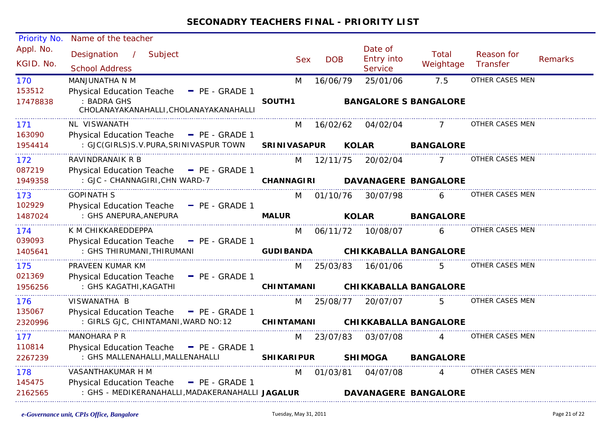| Priority No. | Name of the teacher                                   |                     |            |                              |                              |                 |                |
|--------------|-------------------------------------------------------|---------------------|------------|------------------------------|------------------------------|-----------------|----------------|
| Appl. No.    | Designation / Subject                                 |                     |            | Date of                      | Total                        | Reason for      |                |
| KGID. No.    | <b>School Address</b>                                 | <b>Sex</b>          | <b>DOB</b> | Entry into<br><b>Service</b> | Weightage                    | Transfer        | <b>Remarks</b> |
| 170          | MANJUNATHA N M                                        | M                   | 16/06/79   | 25/01/06                     | 7.5                          | OTHER CASES MEN |                |
| 153512       | <b>Physical Education Teache</b><br>$P_{E}$ - GRADE 1 |                     |            |                              |                              |                 |                |
| 17478838     | : BADRA GHS<br>CHOLANAYAKANAHALLI, CHOLANAYAKANAHALLI | SOUTH1              |            |                              | <b>BANGALORE S BANGALORE</b> |                 |                |
| 171          | NL VISWANATH                                          | M                   |            | 16/02/62 04/02/04            |                              | OTHER CASES MEN |                |
| 163090       | Physical Education Teache - PE - GRADE 1              |                     |            |                              |                              |                 |                |
| 1954414      | : GJC(GIRLS)S.V.PURA,SRINIVASPUR TOWN                 | <b>SRINIVASAPUR</b> |            | <b>KOLAR</b>                 | <b>BANGALORE</b>             |                 |                |
| 172          | RAVINDRANAIK R B                                      |                     | M 12/11/75 |                              | 20/02/04 7                   | OTHER CASES MEN |                |
| 087219       | Physical Education Teache - PE - GRADE 1              |                     |            |                              |                              |                 |                |
| 1949358      | : GJC - CHANNAGIRI, CHN WARD-7                        | CHANNAGIRI          |            |                              | <b>DAVANAGERE BANGALORE</b>  |                 |                |
| 173          | <b>GOPINATH S</b>                                     |                     | M 01/10/76 | 30/07/98                     | $6 \qquad$                   | OTHER CASES MEN |                |
| 102929       | Physical Education Teache - PE - GRADE 1              |                     |            |                              |                              |                 |                |
| 1487024      | : GHS ANEPURA, ANEPURA                                | <b>MALUR</b>        |            | <b>KOLAR</b>                 | <b>BANGALORE</b>             |                 |                |
| 174          | K M CHIKKAREDDEPPA                                    | M                   |            | 06/11/72 10/08/07            | 6                            | OTHER CASES MEN |                |
| 039093       | Physical Education Teache - PE - GRADE 1              |                     |            |                              |                              |                 |                |
| 1405641      | : GHS THIRUMANI, THIRUMANI                            | <b>GUDIBANDA</b>    |            |                              | <b>CHIKKABALLA BANGALORE</b> |                 |                |
| 175          | PRAVEEN KUMAR KM                                      |                     | M 25/03/83 | 16/01/06                     | 5 <sup>5</sup>               | OTHER CASES MEN |                |
| 021369       | Physical Education Teache - PE - GRADE 1              |                     |            |                              |                              |                 |                |
| 1956256      | : GHS KAGATHI, KAGATHI                                | <b>CHINTAMANI</b>   |            |                              | <b>CHIKKABALLA BANGALORE</b> |                 |                |
| 176          | VISWANATHA B                                          |                     | M 25/08/77 | 20/07/07                     | 5.                           | OTHER CASES MEN |                |
| 135067       | Physical Education Teache - PE - GRADE 1              |                     |            |                              |                              |                 |                |
| 2320996      | : GIRLS GJC, CHINTAMANI, WARD NO: 12 CHINTAMANI       |                     |            |                              | <b>CHIKKABALLA BANGALORE</b> |                 |                |
| 177          | MANOHARA P R                                          | M                   | 23/07/83   | 03/07/08                     | 4                            | OTHER CASES MEN |                |
| 110814       | Physical Education Teache - PE - GRADE 1              |                     |            |                              |                              |                 |                |
| 2267239      | : GHS MALLENAHALLI, MALLENAHALLI                      | <b>SHIKARIPUR</b>   |            | <b>SHIMOGA</b>               | <b>BANGALORE</b>             |                 |                |
| 178          | VASANTHAKUMAR H M                                     | M                   | 01/03/81   | 04/07/08                     | $\overline{4}$               | OTHER CASES MEN |                |
| 145475       | Physical Education Teache - PE - GRADE 1              |                     |            |                              |                              |                 |                |
| 2162565      | : GHS - MEDIKERANAHALLI, MADAKERANAHALLI JAGALUR      |                     |            |                              | <b>DAVANAGERE BANGALORE</b>  |                 |                |